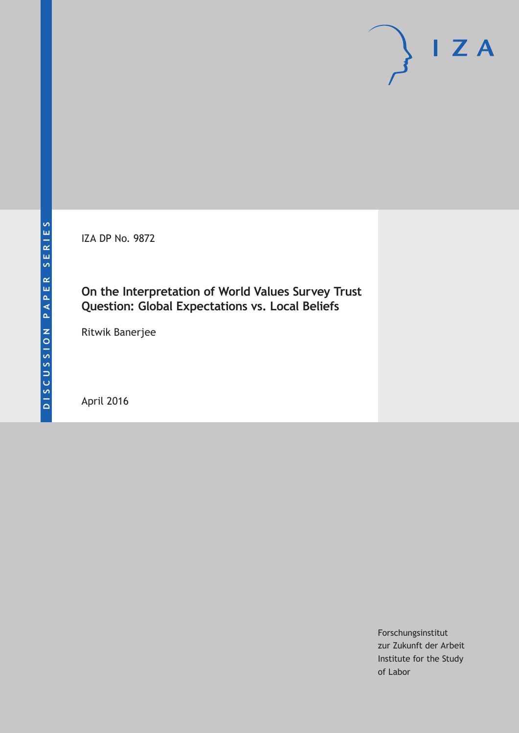IZA DP No. 9872

# **On the Interpretation of World Values Survey Trust Question: Global Expectations vs. Local Beliefs**

Ritwik Banerjee

April 2016

Forschungsinstitut zur Zukunft der Arbeit Institute for the Study of Labor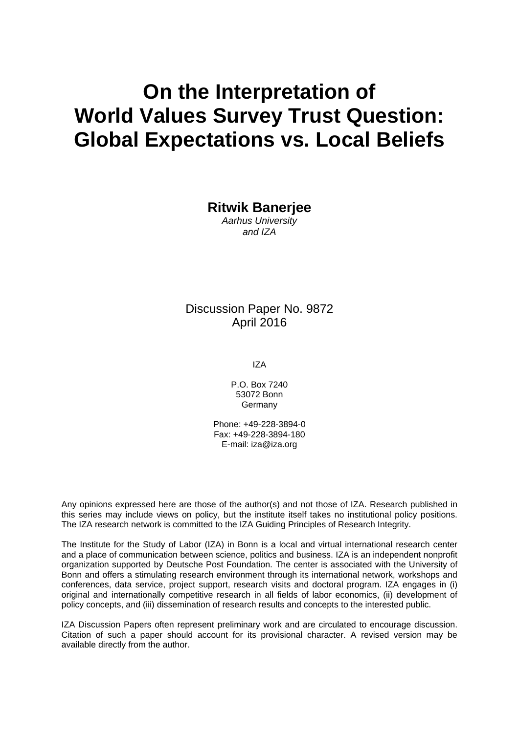# **On the Interpretation of World Values Survey Trust Question: Global Expectations vs. Local Beliefs**

**Ritwik Banerjee** 

*Aarhus University and IZA* 

Discussion Paper No. 9872 April 2016

IZA

P.O. Box 7240 53072 Bonn Germany

Phone: +49-228-3894-0 Fax: +49-228-3894-180 E-mail: iza@iza.org

Any opinions expressed here are those of the author(s) and not those of IZA. Research published in this series may include views on policy, but the institute itself takes no institutional policy positions. The IZA research network is committed to the IZA Guiding Principles of Research Integrity.

The Institute for the Study of Labor (IZA) in Bonn is a local and virtual international research center and a place of communication between science, politics and business. IZA is an independent nonprofit organization supported by Deutsche Post Foundation. The center is associated with the University of Bonn and offers a stimulating research environment through its international network, workshops and conferences, data service, project support, research visits and doctoral program. IZA engages in (i) original and internationally competitive research in all fields of labor economics, (ii) development of policy concepts, and (iii) dissemination of research results and concepts to the interested public.

IZA Discussion Papers often represent preliminary work and are circulated to encourage discussion. Citation of such a paper should account for its provisional character. A revised version may be available directly from the author.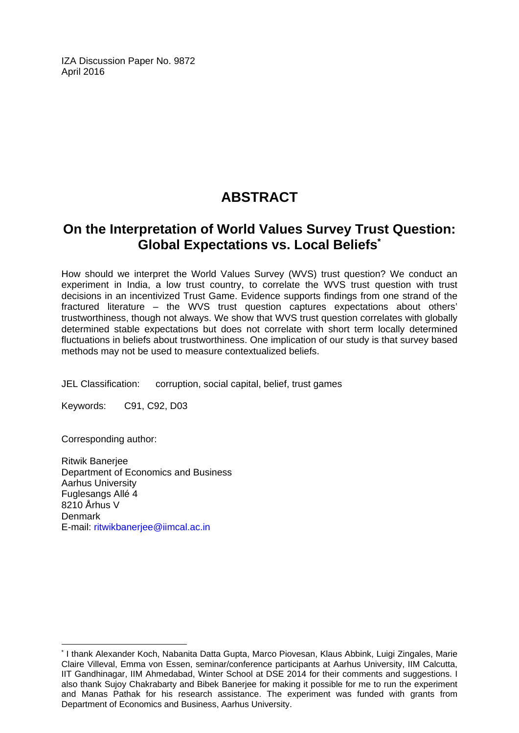IZA Discussion Paper No. 9872 April 2016

# **ABSTRACT**

# **On the Interpretation of World Values Survey Trust Question: Global Expectations vs. Local Beliefs\***

How should we interpret the World Values Survey (WVS) trust question? We conduct an experiment in India, a low trust country, to correlate the WVS trust question with trust decisions in an incentivized Trust Game. Evidence supports findings from one strand of the fractured literature – the WVS trust question captures expectations about others' trustworthiness, though not always. We show that WVS trust question correlates with globally determined stable expectations but does not correlate with short term locally determined fluctuations in beliefs about trustworthiness. One implication of our study is that survey based methods may not be used to measure contextualized beliefs.

JEL Classification: corruption, social capital, belief, trust games

Keywords: C91, C92, D03

Corresponding author:

 $\overline{a}$ 

Ritwik Banerjee Department of Economics and Business Aarhus University Fuglesangs Allé 4 8210 Århus V Denmark E-mail: ritwikbanerjee@iimcal.ac.in

<sup>\*</sup> I thank Alexander Koch, Nabanita Datta Gupta, Marco Piovesan, Klaus Abbink, Luigi Zingales, Marie Claire Villeval, Emma von Essen, seminar/conference participants at Aarhus University, IIM Calcutta, IIT Gandhinagar, IIM Ahmedabad, Winter School at DSE 2014 for their comments and suggestions. I also thank Sujoy Chakrabarty and Bibek Banerjee for making it possible for me to run the experiment and Manas Pathak for his research assistance. The experiment was funded with grants from Department of Economics and Business, Aarhus University.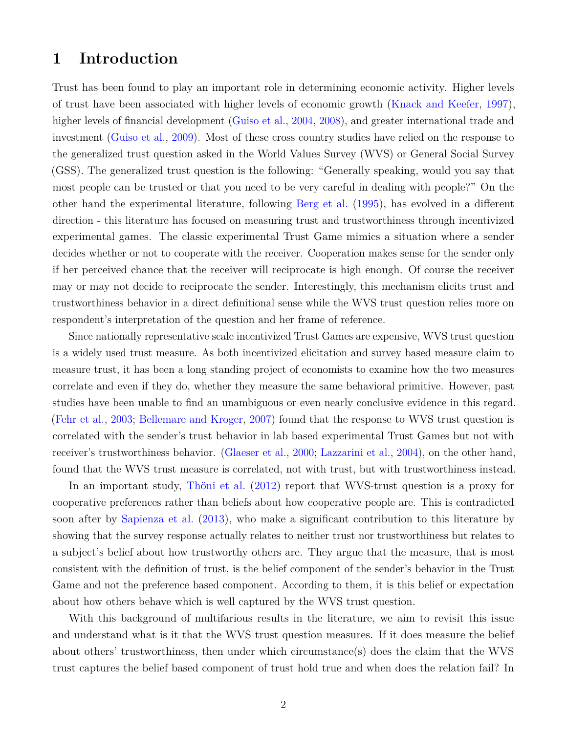## **1 Introduction**

Trust has been found to play an important role in determining economic activity. Higher levels of trust have been associated with higher levels of economic growth [\(Knack and Keefer,](#page-19-0) [1997\)](#page-19-0), higher levels of financial development [\(Guiso et al.,](#page-19-1) [2004,](#page-19-1) [2008\)](#page-19-2), and greater international trade and investment [\(Guiso et al.,](#page-19-3) [2009\)](#page-19-3). Most of these cross country studies have relied on the response to the generalized trust question asked in the World Values Survey (WVS) or General Social Survey (GSS). The generalized trust question is the following: "Generally speaking, would you say that most people can be trusted or that you need to be very careful in dealing with people?" On the other hand the experimental literature, following [Berg et al.](#page-18-0) [\(1995\)](#page-18-0), has evolved in a different direction - this literature has focused on measuring trust and trustworthiness through incentivized experimental games. The classic experimental Trust Game mimics a situation where a sender decides whether or not to cooperate with the receiver. Cooperation makes sense for the sender only if her perceived chance that the receiver will reciprocate is high enough. Of course the receiver may or may not decide to reciprocate the sender. Interestingly, this mechanism elicits trust and trustworthiness behavior in a direct definitional sense while the WVS trust question relies more on respondent's interpretation of the question and her frame of reference.

Since nationally representative scale incentivized Trust Games are expensive, WVS trust question is a widely used trust measure. As both incentivized elicitation and survey based measure claim to measure trust, it has been a long standing project of economists to examine how the two measures correlate and even if they do, whether they measure the same behavioral primitive. However, past studies have been unable to find an unambiguous or even nearly conclusive evidence in this regard. [\(Fehr et al.,](#page-19-4) [2003;](#page-19-4) [Bellemare and Kroger,](#page-18-1) [2007\)](#page-18-1) found that the response to WVS trust question is correlated with the sender's trust behavior in lab based experimental Trust Games but not with receiver's trustworthiness behavior. [\(Glaeser et al.,](#page-19-5) [2000;](#page-19-5) [Lazzarini et al.,](#page-19-6) [2004\)](#page-19-6), on the other hand, found that the WVS trust measure is correlated, not with trust, but with trustworthiness instead.

In an important study, [Thöni et al.](#page-20-0) [\(2012\)](#page-20-0) report that WVS-trust question is a proxy for cooperative preferences rather than beliefs about how cooperative people are. This is contradicted soon after by [Sapienza et al.](#page-20-1) [\(2013\)](#page-20-1), who make a significant contribution to this literature by showing that the survey response actually relates to neither trust nor trustworthiness but relates to a subject's belief about how trustworthy others are. They argue that the measure, that is most consistent with the definition of trust, is the belief component of the sender's behavior in the Trust Game and not the preference based component. According to them, it is this belief or expectation about how others behave which is well captured by the WVS trust question.

With this background of multifarious results in the literature, we aim to revisit this issue and understand what is it that the WVS trust question measures. If it does measure the belief about others' trustworthiness, then under which circumstance(s) does the claim that the WVS trust captures the belief based component of trust hold true and when does the relation fail? In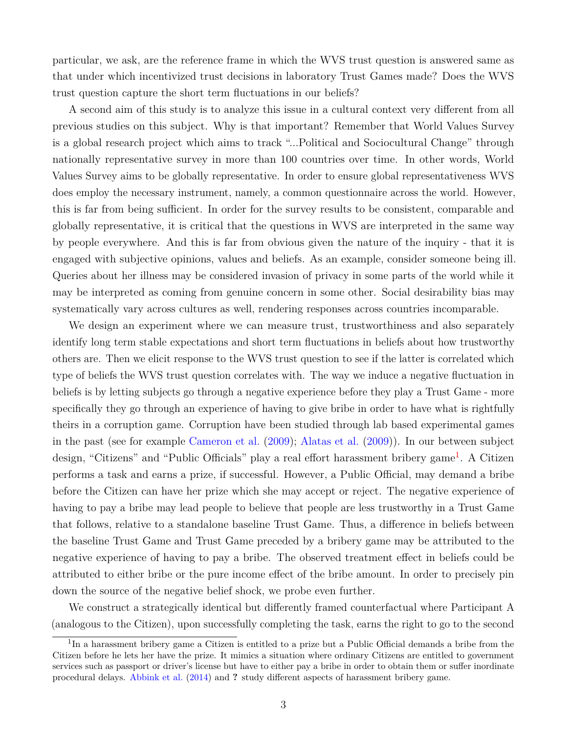particular, we ask, are the reference frame in which the WVS trust question is answered same as that under which incentivized trust decisions in laboratory Trust Games made? Does the WVS trust question capture the short term fluctuations in our beliefs?

A second aim of this study is to analyze this issue in a cultural context very different from all previous studies on this subject. Why is that important? Remember that World Values Survey is a global research project which aims to track "...Political and Sociocultural Change" through nationally representative survey in more than 100 countries over time. In other words, World Values Survey aims to be globally representative. In order to ensure global representativeness WVS does employ the necessary instrument, namely, a common questionnaire across the world. However, this is far from being sufficient. In order for the survey results to be consistent, comparable and globally representative, it is critical that the questions in WVS are interpreted in the same way by people everywhere. And this is far from obvious given the nature of the inquiry - that it is engaged with subjective opinions, values and beliefs. As an example, consider someone being ill. Queries about her illness may be considered invasion of privacy in some parts of the world while it may be interpreted as coming from genuine concern in some other. Social desirability bias may systematically vary across cultures as well, rendering responses across countries incomparable.

We design an experiment where we can measure trust, trustworthiness and also separately identify long term stable expectations and short term fluctuations in beliefs about how trustworthy others are. Then we elicit response to the WVS trust question to see if the latter is correlated which type of beliefs the WVS trust question correlates with. The way we induce a negative fluctuation in beliefs is by letting subjects go through a negative experience before they play a Trust Game - more specifically they go through an experience of having to give bribe in order to have what is rightfully theirs in a corruption game. Corruption have been studied through lab based experimental games in the past (see for example [Cameron et al.](#page-19-7) [\(2009\)](#page-19-7); [Alatas et al.](#page-18-2) [\(2009\)](#page-18-2)). In our between subject design, "Citizens" and "Public Officials" play a real effort harassment bribery game<sup>[1](#page--1-0)</sup>. A Citizen performs a task and earns a prize, if successful. However, a Public Official, may demand a bribe before the Citizen can have her prize which she may accept or reject. The negative experience of having to pay a bribe may lead people to believe that people are less trustworthy in a Trust Game that follows, relative to a standalone baseline Trust Game. Thus, a difference in beliefs between the baseline Trust Game and Trust Game preceded by a bribery game may be attributed to the negative experience of having to pay a bribe. The observed treatment effect in beliefs could be attributed to either bribe or the pure income effect of the bribe amount. In order to precisely pin down the source of the negative belief shock, we probe even further.

We construct a strategically identical but differently framed counterfactual where Participant A (analogous to the Citizen), upon successfully completing the task, earns the right to go to the second

<sup>&</sup>lt;sup>1</sup>In a harassment bribery game a Citizen is entitled to a prize but a Public Official demands a bribe from the Citizen before he lets her have the prize. It mimics a situation where ordinary Citizens are entitled to government services such as passport or driver's license but have to either pay a bribe in order to obtain them or suffer inordinate procedural delays. [Abbink et al.](#page-18-3) [\(2014\)](#page-18-3) and **?** study different aspects of harassment bribery game.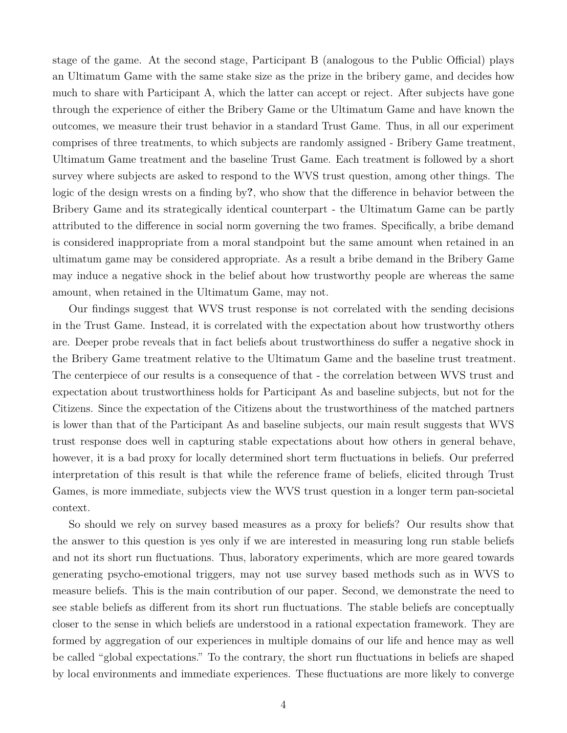stage of the game. At the second stage, Participant B (analogous to the Public Official) plays an Ultimatum Game with the same stake size as the prize in the bribery game, and decides how much to share with Participant A, which the latter can accept or reject. After subjects have gone through the experience of either the Bribery Game or the Ultimatum Game and have known the outcomes, we measure their trust behavior in a standard Trust Game. Thus, in all our experiment comprises of three treatments, to which subjects are randomly assigned - Bribery Game treatment, Ultimatum Game treatment and the baseline Trust Game. Each treatment is followed by a short survey where subjects are asked to respond to the WVS trust question, among other things. The logic of the design wrests on a finding by**?**, who show that the difference in behavior between the Bribery Game and its strategically identical counterpart - the Ultimatum Game can be partly attributed to the difference in social norm governing the two frames. Specifically, a bribe demand is considered inappropriate from a moral standpoint but the same amount when retained in an ultimatum game may be considered appropriate. As a result a bribe demand in the Bribery Game may induce a negative shock in the belief about how trustworthy people are whereas the same amount, when retained in the Ultimatum Game, may not.

Our findings suggest that WVS trust response is not correlated with the sending decisions in the Trust Game. Instead, it is correlated with the expectation about how trustworthy others are. Deeper probe reveals that in fact beliefs about trustworthiness do suffer a negative shock in the Bribery Game treatment relative to the Ultimatum Game and the baseline trust treatment. The centerpiece of our results is a consequence of that - the correlation between WVS trust and expectation about trustworthiness holds for Participant As and baseline subjects, but not for the Citizens. Since the expectation of the Citizens about the trustworthiness of the matched partners is lower than that of the Participant As and baseline subjects, our main result suggests that WVS trust response does well in capturing stable expectations about how others in general behave, however, it is a bad proxy for locally determined short term fluctuations in beliefs. Our preferred interpretation of this result is that while the reference frame of beliefs, elicited through Trust Games, is more immediate, subjects view the WVS trust question in a longer term pan-societal context.

So should we rely on survey based measures as a proxy for beliefs? Our results show that the answer to this question is yes only if we are interested in measuring long run stable beliefs and not its short run fluctuations. Thus, laboratory experiments, which are more geared towards generating psycho-emotional triggers, may not use survey based methods such as in WVS to measure beliefs. This is the main contribution of our paper. Second, we demonstrate the need to see stable beliefs as different from its short run fluctuations. The stable beliefs are conceptually closer to the sense in which beliefs are understood in a rational expectation framework. They are formed by aggregation of our experiences in multiple domains of our life and hence may as well be called "global expectations." To the contrary, the short run fluctuations in beliefs are shaped by local environments and immediate experiences. These fluctuations are more likely to converge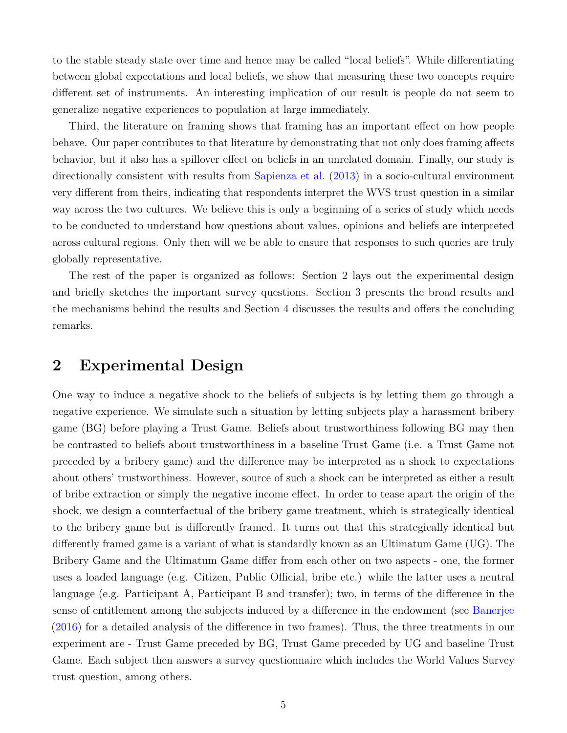to the stable steady state over time and hence may be called "local beliefs". While differentiating between global expectations and local beliefs, we show that measuring these two concepts require different set of instruments. An interesting implication of our result is people do not seem to generalize negative experiences to population at large immediately.

Third, the literature on framing shows that framing has an important effect on how people behave. Our paper contributes to that literature by demonstrating that not only does framing affects behavior, but it also has a spillover effect on beliefs in an unrelated domain. Finally, our study is directionally consistent with results from [Sapienza et al.](#page-20-1) [\(2013\)](#page-20-1) in a socio-cultural environment very different from theirs, indicating that respondents interpret the WVS trust question in a similar way across the two cultures. We believe this is only a beginning of a series of study which needs to be conducted to understand how questions about values, opinions and beliefs are interpreted across cultural regions. Only then will we be able to ensure that responses to such queries are truly globally representative.

The rest of the paper is organized as follows: Section 2 lays out the experimental design and briefly sketches the important survey questions. Section 3 presents the broad results and the mechanisms behind the results and Section 4 discusses the results and offers the concluding remarks.

## **2 Experimental Design**

One way to induce a negative shock to the beliefs of subjects is by letting them go through a negative experience. We simulate such a situation by letting subjects play a harassment bribery game (BG) before playing a Trust Game. Beliefs about trustworthiness following BG may then be contrasted to beliefs about trustworthiness in a baseline Trust Game (i.e. a Trust Game not preceded by a bribery game) and the difference may be interpreted as a shock to expectations about others' trustworthiness. However, source of such a shock can be interpreted as either a result of bribe extraction or simply the negative income effect. In order to tease apart the origin of the shock, we design a counterfactual of the bribery game treatment, which is strategically identical to the bribery game but is differently framed. It turns out that this strategically identical but differently framed game is a variant of what is standardly known as an Ultimatum Game (UG). The Bribery Game and the Ultimatum Game differ from each other on two aspects - one, the former uses a loaded language (e.g. Citizen, Public Official, bribe etc.) while the latter uses a neutral language (e.g. Participant A, Participant B and transfer); two, in terms of the difference in the sense of entitlement among the subjects induced by a difference in the endowment (see [Banerjee](#page-18-4) [\(2016\)](#page-18-4) for a detailed analysis of the difference in two frames). Thus, the three treatments in our experiment are - Trust Game preceded by BG, Trust Game preceded by UG and baseline Trust Game. Each subject then answers a survey questionnaire which includes the World Values Survey trust question, among others.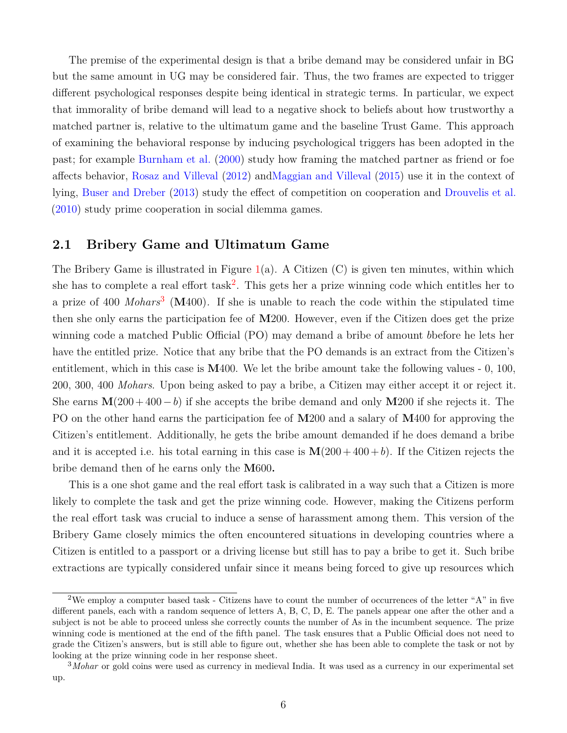The premise of the experimental design is that a bribe demand may be considered unfair in BG but the same amount in UG may be considered fair. Thus, the two frames are expected to trigger different psychological responses despite being identical in strategic terms. In particular, we expect that immorality of bribe demand will lead to a negative shock to beliefs about how trustworthy a matched partner is, relative to the ultimatum game and the baseline Trust Game. This approach of examining the behavioral response by inducing psychological triggers has been adopted in the past; for example [Burnham et al.](#page-19-8) [\(2000\)](#page-19-8) study how framing the matched partner as friend or foe affects behavior, [Rosaz and Villeval](#page-20-2) [\(2012\)](#page-20-2) an[dMaggian and Villeval](#page-19-9) [\(2015\)](#page-19-9) use it in the context of lying, [Buser and Dreber](#page-19-10) [\(2013\)](#page-19-10) study the effect of competition on cooperation and [Drouvelis et al.](#page-19-11) [\(2010\)](#page-19-11) study prime cooperation in social dilemma games.

#### **2.1 Bribery Game and Ultimatum Game**

The Bribery Game is illustrated in Figure  $1(a)$  $1(a)$ . A Citizen  $(C)$  is given ten minutes, within which she has to complete a real effort  $task^2$  $task^2$ . This gets her a prize winning code which entitles her to a prize of 400 *Mohars*[3](#page--1-0) (**M**400)*.* If she is unable to reach the code within the stipulated time then she only earns the participation fee of **M**200. However, even if the Citizen does get the prize winning code a matched Public Official (PO) may demand a bribe of amount *b*before he lets her have the entitled prize. Notice that any bribe that the PO demands is an extract from the Citizen's entitlement, which in this case is **M**400. We let the bribe amount take the following values - 0, 100, 200, 300, 400 *Mohars*. Upon being asked to pay a bribe, a Citizen may either accept it or reject it. She earns **M**(200 + 400−*b*) if she accepts the bribe demand and only **M**200 if she rejects it. The PO on the other hand earns the participation fee of **M**200 and a salary of **M**400 for approving the Citizen's entitlement. Additionally, he gets the bribe amount demanded if he does demand a bribe and it is accepted i.e. his total earning in this case is  $\mathbf{M}(200 + 400 + b)$ . If the Citizen rejects the bribe demand then of he earns only the **M**600**.**

This is a one shot game and the real effort task is calibrated in a way such that a Citizen is more likely to complete the task and get the prize winning code. However, making the Citizens perform the real effort task was crucial to induce a sense of harassment among them. This version of the Bribery Game closely mimics the often encountered situations in developing countries where a Citizen is entitled to a passport or a driving license but still has to pay a bribe to get it. Such bribe extractions are typically considered unfair since it means being forced to give up resources which

<sup>&</sup>lt;sup>2</sup>We employ a computer based task - Citizens have to count the number of occurrences of the letter "A" in five different panels, each with a random sequence of letters A, B, C, D, E. The panels appear one after the other and a subject is not be able to proceed unless she correctly counts the number of As in the incumbent sequence. The prize winning code is mentioned at the end of the fifth panel. The task ensures that a Public Official does not need to grade the Citizen's answers, but is still able to figure out, whether she has been able to complete the task or not by looking at the prize winning code in her response sheet.

<sup>3</sup>*Mohar* or gold coins were used as currency in medieval India. It was used as a currency in our experimental set up.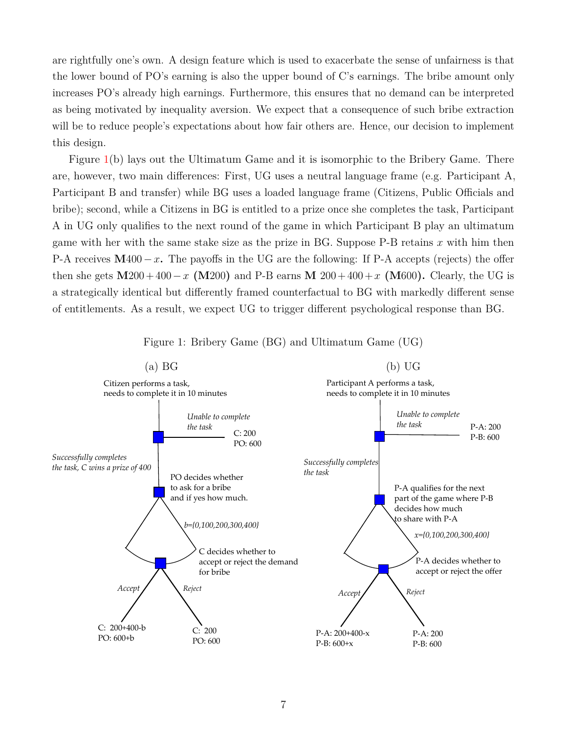are rightfully one's own. A design feature which is used to exacerbate the sense of unfairness is that the lower bound of PO's earning is also the upper bound of C's earnings. The bribe amount only increases PO's already high earnings. Furthermore, this ensures that no demand can be interpreted as being motivated by inequality aversion. We expect that a consequence of such bribe extraction will be to reduce people's expectations about how fair others are. Hence, our decision to implement this design.

Figure [1\(](#page-8-0)b) lays out the Ultimatum Game and it is isomorphic to the Bribery Game. There are, however, two main differences: First, UG uses a neutral language frame (e.g. Participant A, Participant B and transfer) while BG uses a loaded language frame (Citizens, Public Officials and bribe); second, while a Citizens in BG is entitled to a prize once she completes the task, Participant A in UG only qualifies to the next round of the game in which Participant B play an ultimatum game with her with the same stake size as the prize in BG. Suppose P-B retains *x* with him then P-A receives **M**400−*x***.** The payoffs in the UG are the following: If P-A accepts (rejects) the offer then she gets  $M200 + 400 - x$  ( $M200$ ) and P-B earns  $M$  200 + 400 + x ( $M600$ ). Clearly, the UG is a strategically identical but differently framed counterfactual to BG with markedly different sense of entitlements. As a result, we expect UG to trigger different psychological response than BG.



<span id="page-8-0"></span>Figure 1: Bribery Game (BG) and Ultimatum Game (UG)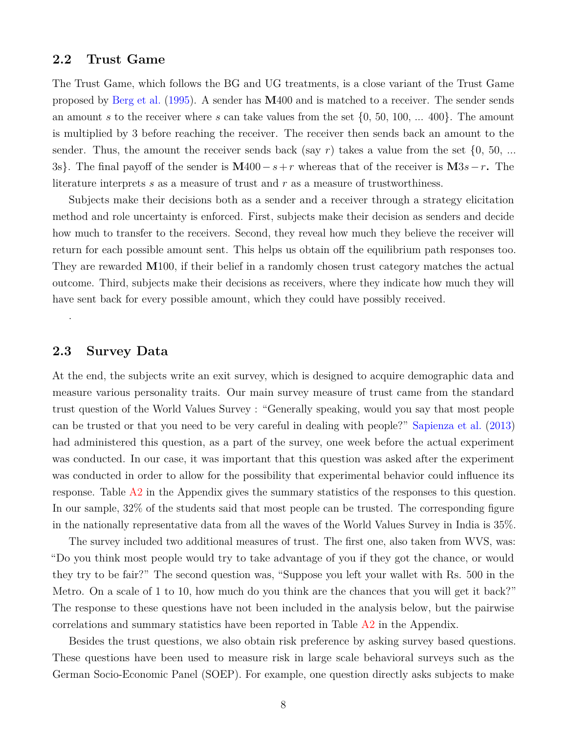### **2.2 Trust Game**

The Trust Game, which follows the BG and UG treatments, is a close variant of the Trust Game proposed by [Berg et al.](#page-18-0) [\(1995\)](#page-18-0). A sender has **M**400 and is matched to a receiver. The sender sends an amount *s* to the receiver where *s* can take values from the set {0, 50, 100, ... 400}. The amount is multiplied by 3 before reaching the receiver. The receiver then sends back an amount to the sender. Thus, the amount the receiver sends back (say  $r$ ) takes a value from the set  $\{0, 50, \ldots\}$ 3s}. The final payoff of the sender is **M**400−*s*+*r* whereas that of the receiver is **M**3*s*−*r***.** The literature interprets *s* as a measure of trust and *r* as a measure of trustworthiness.

Subjects make their decisions both as a sender and a receiver through a strategy elicitation method and role uncertainty is enforced. First, subjects make their decision as senders and decide how much to transfer to the receivers. Second, they reveal how much they believe the receiver will return for each possible amount sent. This helps us obtain off the equilibrium path responses too. They are rewarded **M**100, if their belief in a randomly chosen trust category matches the actual outcome. Third, subjects make their decisions as receivers, where they indicate how much they will have sent back for every possible amount, which they could have possibly received.

### **2.3 Survey Data**

.

At the end, the subjects write an exit survey, which is designed to acquire demographic data and measure various personality traits. Our main survey measure of trust came from the standard trust question of the World Values Survey : "Generally speaking, would you say that most people can be trusted or that you need to be very careful in dealing with people?" [Sapienza et al.](#page-20-1) [\(2013\)](#page-20-1) had administered this question, as a part of the survey, one week before the actual experiment was conducted. In our case, it was important that this question was asked after the experiment was conducted in order to allow for the possibility that experimental behavior could influence its response. Table [A2](#page-21-0) in the Appendix gives the summary statistics of the responses to this question. In our sample, 32% of the students said that most people can be trusted. The corresponding figure in the nationally representative data from all the waves of the World Values Survey in India is 35%.

The survey included two additional measures of trust. The first one, also taken from WVS, was: "Do you think most people would try to take advantage of you if they got the chance, or would they try to be fair?" The second question was, "Suppose you left your wallet with Rs. 500 in the Metro. On a scale of 1 to 10, how much do you think are the chances that you will get it back?" The response to these questions have not been included in the analysis below, but the pairwise correlations and summary statistics have been reported in Table [A2](#page-21-0) in the Appendix.

Besides the trust questions, we also obtain risk preference by asking survey based questions. These questions have been used to measure risk in large scale behavioral surveys such as the German Socio-Economic Panel (SOEP). For example, one question directly asks subjects to make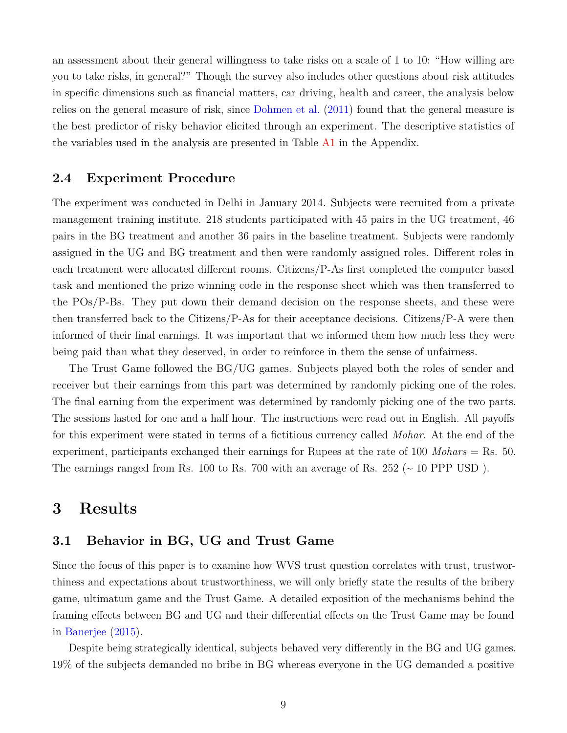an assessment about their general willingness to take risks on a scale of 1 to 10: "How willing are you to take risks, in general?" Though the survey also includes other questions about risk attitudes in specific dimensions such as financial matters, car driving, health and career, the analysis below relies on the general measure of risk, since [Dohmen et al.](#page-19-12) [\(2011\)](#page-19-12) found that the general measure is the best predictor of risky behavior elicited through an experiment. The descriptive statistics of the variables used in the analysis are presented in Table [A1](#page-12-0) in the Appendix.

#### **2.4 Experiment Procedure**

The experiment was conducted in Delhi in January 2014. Subjects were recruited from a private management training institute. 218 students participated with 45 pairs in the UG treatment, 46 pairs in the BG treatment and another 36 pairs in the baseline treatment. Subjects were randomly assigned in the UG and BG treatment and then were randomly assigned roles. Different roles in each treatment were allocated different rooms. Citizens/P-As first completed the computer based task and mentioned the prize winning code in the response sheet which was then transferred to the POs/P-Bs. They put down their demand decision on the response sheets, and these were then transferred back to the Citizens/P-As for their acceptance decisions. Citizens/P-A were then informed of their final earnings. It was important that we informed them how much less they were being paid than what they deserved, in order to reinforce in them the sense of unfairness.

The Trust Game followed the BG/UG games. Subjects played both the roles of sender and receiver but their earnings from this part was determined by randomly picking one of the roles. The final earning from the experiment was determined by randomly picking one of the two parts. The sessions lasted for one and a half hour. The instructions were read out in English. All payoffs for this experiment were stated in terms of a fictitious currency called *Mohar*. At the end of the experiment, participants exchanged their earnings for Rupees at the rate of 100 *Mohars* = Rs. 50. The earnings ranged from Rs. 100 to Rs. 700 with an average of Rs.  $252 \div 10$  PPP USD).

## **3 Results**

### **3.1 Behavior in BG, UG and Trust Game**

Since the focus of this paper is to examine how WVS trust question correlates with trust, trustworthiness and expectations about trustworthiness, we will only briefly state the results of the bribery game, ultimatum game and the Trust Game. A detailed exposition of the mechanisms behind the framing effects between BG and UG and their differential effects on the Trust Game may be found in [Banerjee](#page-18-5) [\(2015\)](#page-18-5).

Despite being strategically identical, subjects behaved very differently in the BG and UG games. 19% of the subjects demanded no bribe in BG whereas everyone in the UG demanded a positive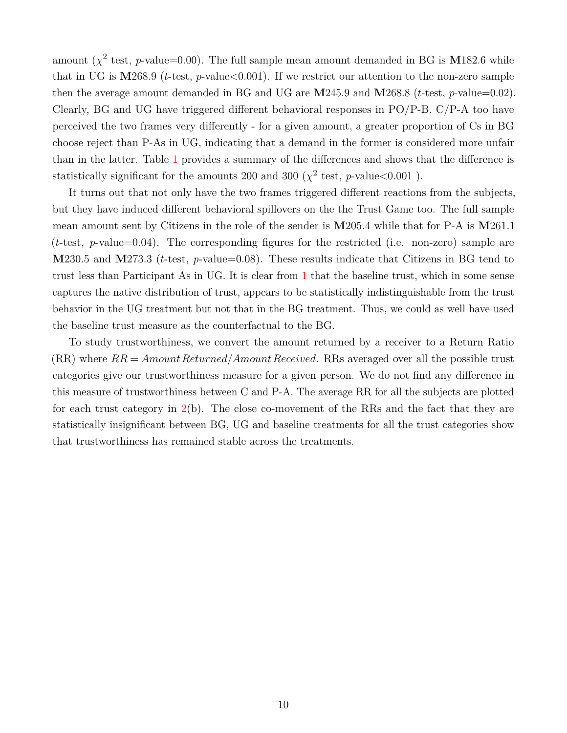amount ( $\chi^2$  test, *p*-value=0.00). The full sample mean amount demanded in BG is M182.6 while that in UG is **M**268.9 (*t*-test, *p*-value<0.001). If we restrict our attention to the non-zero sample then the average amount demanded in BG and UG are **M**245.9 and **M**268.8 (*t*-test, *p*-value=0.02). Clearly, BG and UG have triggered different behavioral responses in PO/P-B. C/P-A too have perceived the two frames very differently - for a given amount, a greater proportion of Cs in BG choose reject than P-As in UG, indicating that a demand in the former is considered more unfair than in the latter. Table [1](#page-12-0) provides a summary of the differences and shows that the difference is statistically significant for the amounts 200 and 300 ( $\chi^2$  test, *p*-value <0.001).

It turns out that not only have the two frames triggered different reactions from the subjects, but they have induced different behavioral spillovers on the the Trust Game too. The full sample mean amount sent by Citizens in the role of the sender is **M**205.4 while that for P-A is **M**261.1 (*t*-test*, p*-value=0.04). The corresponding figures for the restricted (i.e. non-zero) sample are **M**230.5 and **M**273.3 (*t*-test, *p*-value=0.08). These results indicate that Citizens in BG tend to trust less than Participant As in UG. It is clear from [1](#page-12-0) that the baseline trust, which in some sense captures the native distribution of trust, appears to be statistically indistinguishable from the trust behavior in the UG treatment but not that in the BG treatment. Thus, we could as well have used the baseline trust measure as the counterfactual to the BG.

To study trustworthiness, we convert the amount returned by a receiver to a Return Ratio  $(RR)$  where  $RR = Amount Returned/AmountReceived.$  RRs averaged over all the possible trust categories give our trustworthiness measure for a given person. We do not find any difference in this measure of trustworthiness between C and P-A. The average RR for all the subjects are plotted for each trust category in [2\(](#page-13-0)b). The close co-movement of the RRs and the fact that they are statistically insignificant between BG, UG and baseline treatments for all the trust categories show that trustworthiness has remained stable across the treatments.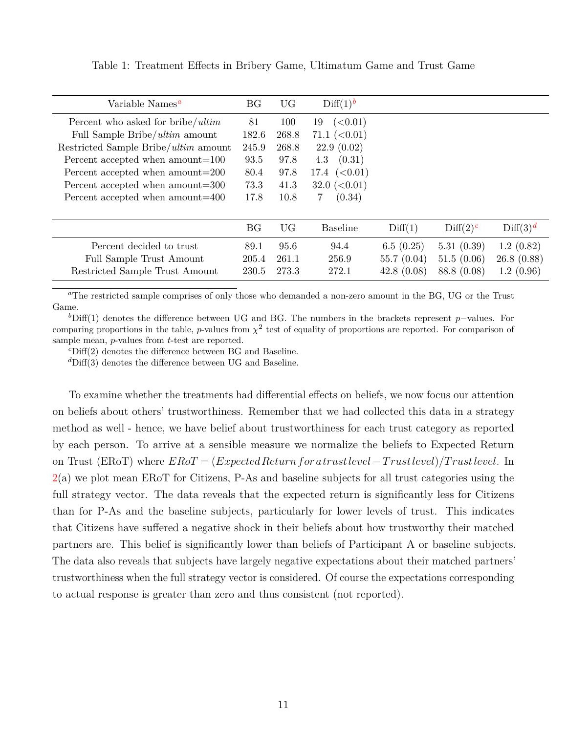| Variable Names <sup>a</sup>          | <b>BG</b> | <b>UG</b> | Diff(1) <sup>b</sup> |            |             |                      |
|--------------------------------------|-----------|-----------|----------------------|------------|-------------|----------------------|
|                                      |           |           |                      |            |             |                      |
| Percent who asked for bribe/ $ultim$ | 81        | 100       | (<0.01)<br>19        |            |             |                      |
| Full Sample Bribe/ultim amount       | 182.6     | 268.8     | 71.1~(<0.01)         |            |             |                      |
| Restricted Sample Bribe/ultim amount | 245.9     | 268.8     | 22.9(0.02)           |            |             |                      |
| Percent accepted when amount=100     | 93.5      | 97.8      | (0.31)<br>4.3        |            |             |                      |
| Percent accepted when amount=200     | 80.4      | 97.8      | 17.4 $(0.01)$        |            |             |                      |
| Percent accepted when amount=300     | 73.3      | 41.3      | 32.0 $(< 0.01)$      |            |             |                      |
| Percent accepted when amount=400     | 17.8      | 10.8      | (0.34)<br>7          |            |             |                      |
|                                      |           |           |                      |            |             |                      |
|                                      | <b>BG</b> | <b>UG</b> | <b>Baseline</b>      | Diff(1)    | $Diff(2)^c$ | Diff(3) <sup>d</sup> |
| Percent decided to trust             | 89.1      | 95.6      | 94.4                 | 6.5(0.25)  | 5.31(0.39)  | 1.2(0.82)            |
| Full Sample Trust Amount             | 205.4     | 261.1     | 256.9                | 55.7(0.04) | 51.5(0.06)  | 26.8(0.88)           |
| Restricted Sample Trust Amount       | 230.5     | 273.3     | 272.1                | 42.8(0.08) | 88.8 (0.08) | 1.2(0.96)            |

<span id="page-12-5"></span><span id="page-12-0"></span>Table 1: Treatment Effects in Bribery Game, Ultimatum Game and Trust Game

<span id="page-12-1"></span>*<sup>a</sup>*The restricted sample comprises of only those who demanded a non-zero amount in the BG, UG or the Trust Game.

<span id="page-12-2"></span>*b*Diff(1) denotes the difference between UG and BG. The numbers in the brackets represent *p*−values. For comparing proportions in the table, *p*-values from  $\chi^2$  test of equality of proportions are reported. For comparison of sample mean, *p*-values from *t*-test are reported.

<span id="page-12-3"></span>*<sup>c</sup>*Diff(2) denotes the difference between BG and Baseline.

<span id="page-12-4"></span>*<sup>d</sup>*Diff(3) denotes the difference between UG and Baseline.

To examine whether the treatments had differential effects on beliefs, we now focus our attention on beliefs about others' trustworthiness. Remember that we had collected this data in a strategy method as well - hence, we have belief about trustworthiness for each trust category as reported by each person. To arrive at a sensible measure we normalize the beliefs to Expected Return on Trust (ERoT) where *ERoT* = (*ExpectedReturnfor a trustlevel* −*T rustlevel*)*/T rustlevel*. In [2\(](#page-13-0)a) we plot mean ERoT for Citizens, P-As and baseline subjects for all trust categories using the full strategy vector. The data reveals that the expected return is significantly less for Citizens than for P-As and the baseline subjects, particularly for lower levels of trust. This indicates that Citizens have suffered a negative shock in their beliefs about how trustworthy their matched partners are. This belief is significantly lower than beliefs of Participant A or baseline subjects. The data also reveals that subjects have largely negative expectations about their matched partners' trustworthiness when the full strategy vector is considered. Of course the expectations corresponding to actual response is greater than zero and thus consistent (not reported).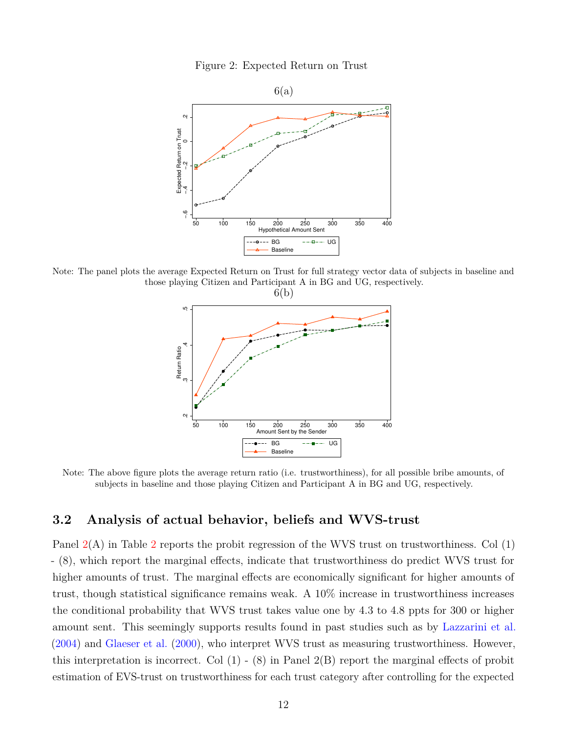<span id="page-13-0"></span>



Note: The panel plots the average Expected Return on Trust for full strategy vector data of subjects in baseline and those playing Citizen and Participant A in BG and UG, respectively.



Note: The above figure plots the average return ratio (i.e. trustworthiness), for all possible bribe amounts, of subjects in baseline and those playing Citizen and Participant A in BG and UG, respectively.

#### **3.2 Analysis of actual behavior, beliefs and WVS-trust**

Panel  $2(A)$  $2(A)$  in Table [2](#page-21-0) reports the probit regression of the WVS trust on trustworthiness. Col (1) - (8), which report the marginal effects, indicate that trustworthiness do predict WVS trust for higher amounts of trust. The marginal effects are economically significant for higher amounts of trust, though statistical significance remains weak. A 10% increase in trustworthiness increases the conditional probability that WVS trust takes value one by 4.3 to 4.8 ppts for 300 or higher amount sent. This seemingly supports results found in past studies such as by [Lazzarini et al.](#page-19-6) [\(2004\)](#page-19-6) and [Glaeser et al.](#page-19-5) [\(2000\)](#page-19-5), who interpret WVS trust as measuring trustworthiness. However, this interpretation is incorrect. Col (1) - (8) in Panel 2(B) report the marginal effects of probit estimation of EVS-trust on trustworthiness for each trust category after controlling for the expected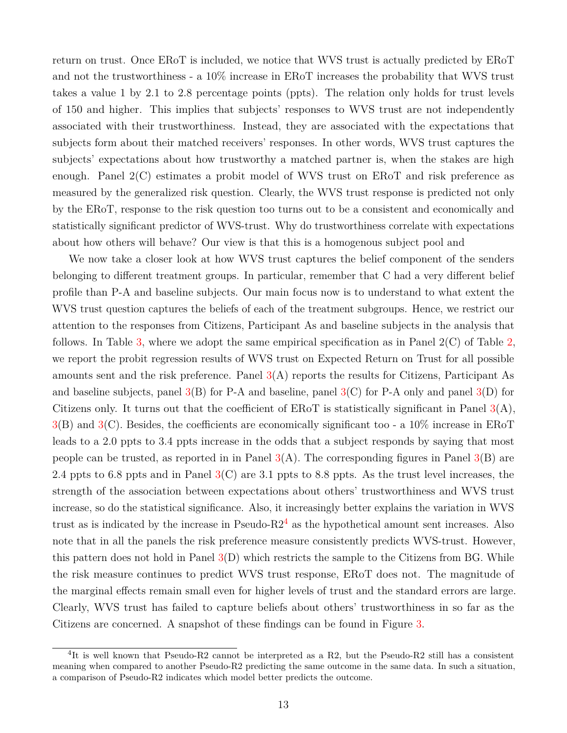return on trust. Once ERoT is included, we notice that WVS trust is actually predicted by ERoT and not the trustworthiness - a 10% increase in ERoT increases the probability that WVS trust takes a value 1 by 2.1 to 2.8 percentage points (ppts). The relation only holds for trust levels of 150 and higher. This implies that subjects' responses to WVS trust are not independently associated with their trustworthiness. Instead, they are associated with the expectations that subjects form about their matched receivers' responses. In other words, WVS trust captures the subjects' expectations about how trustworthy a matched partner is, when the stakes are high enough. Panel 2(C) estimates a probit model of WVS trust on ERoT and risk preference as measured by the generalized risk question. Clearly, the WVS trust response is predicted not only by the ERoT, response to the risk question too turns out to be a consistent and economically and statistically significant predictor of WVS-trust. Why do trustworthiness correlate with expectations about how others will behave? Our view is that this is a homogenous subject pool and

We now take a closer look at how WVS trust captures the belief component of the senders belonging to different treatment groups. In particular, remember that C had a very different belief profile than P-A and baseline subjects. Our main focus now is to understand to what extent the WVS trust question captures the beliefs of each of the treatment subgroups. Hence, we restrict our attention to the responses from Citizens, Participant As and baseline subjects in the analysis that follows. In Table [3,](#page-22-0) where we adopt the same empirical specification as in Panel  $2(C)$  of Table [2,](#page-21-0) we report the probit regression results of WVS trust on Expected Return on Trust for all possible amounts sent and the risk preference. Panel  $3(A)$  $3(A)$  reports the results for Citizens, Participant As and baseline subjects, panel  $3(B)$  $3(B)$  for P-A and baseline, panel  $3(C)$  for P-A only and panel  $3(D)$  for Citizens only. It turns out that the coefficient of EROT is statistically significant in Panel  $3(A)$  $3(A)$ , [3\(](#page-22-0)B) and [3\(](#page-22-0)C). Besides, the coefficients are economically significant too - a 10% increase in ERoT leads to a 2.0 ppts to 3.4 ppts increase in the odds that a subject responds by saying that most people can be trusted, as reported in in Panel  $3(A)$  $3(A)$ . The corresponding figures in Panel  $3(B)$  are 2.4 ppts to 6.8 ppts and in Panel  $3(C)$  $3(C)$  are 3.1 ppts to 8.8 ppts. As the trust level increases, the strength of the association between expectations about others' trustworthiness and WVS trust increase, so do the statistical significance. Also, it increasingly better explains the variation in WVS trust as is indicated by the increase in Pseudo- $R2<sup>4</sup>$  $R2<sup>4</sup>$  $R2<sup>4</sup>$  as the hypothetical amount sent increases. Also note that in all the panels the risk preference measure consistently predicts WVS-trust. However, this pattern does not hold in Panel  $3(D)$  $3(D)$  which restricts the sample to the Citizens from BG. While the risk measure continues to predict WVS trust response, ERoT does not. The magnitude of the marginal effects remain small even for higher levels of trust and the standard errors are large. Clearly, WVS trust has failed to capture beliefs about others' trustworthiness in so far as the Citizens are concerned. A snapshot of these findings can be found in Figure [3.](#page-16-0)

<sup>&</sup>lt;sup>4</sup>It is well known that Pseudo-R2 cannot be interpreted as a R2, but the Pseudo-R2 still has a consistent meaning when compared to another Pseudo-R2 predicting the same outcome in the same data. In such a situation, a comparison of Pseudo-R2 indicates which model better predicts the outcome.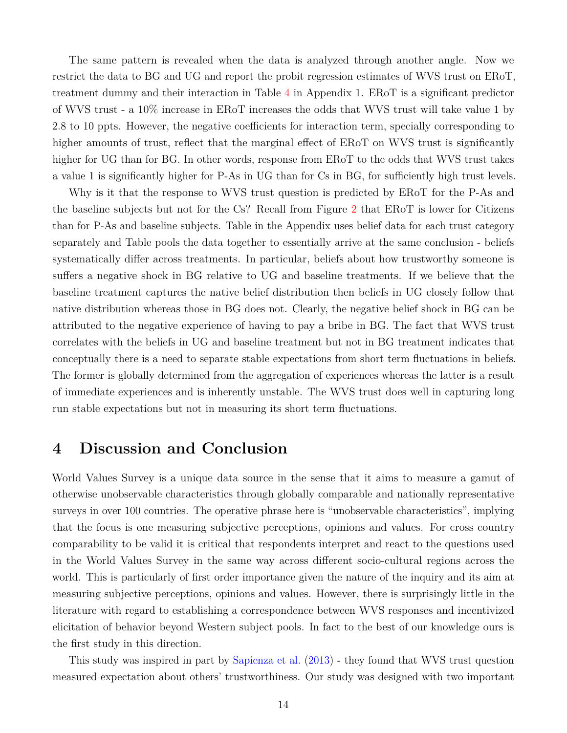The same pattern is revealed when the data is analyzed through another angle. Now we restrict the data to BG and UG and report the probit regression estimates of WVS trust on ERoT, treatment dummy and their interaction in Table [4](#page-21-0) in Appendix 1. ERoT is a significant predictor of WVS trust - a 10% increase in ERoT increases the odds that WVS trust will take value 1 by 2.8 to 10 ppts. However, the negative coefficients for interaction term, specially corresponding to higher amounts of trust, reflect that the marginal effect of EROT on WVS trust is significantly higher for UG than for BG. In other words, response from ERoT to the odds that WVS trust takes a value 1 is significantly higher for P-As in UG than for Cs in BG, for sufficiently high trust levels.

Why is it that the response to WVS trust question is predicted by ERoT for the P-As and the baseline subjects but not for the Cs? Recall from Figure [2](#page-13-0) that ERoT is lower for Citizens than for P-As and baseline subjects. Table in the Appendix uses belief data for each trust category separately and Table pools the data together to essentially arrive at the same conclusion - beliefs systematically differ across treatments. In particular, beliefs about how trustworthy someone is suffers a negative shock in BG relative to UG and baseline treatments. If we believe that the baseline treatment captures the native belief distribution then beliefs in UG closely follow that native distribution whereas those in BG does not. Clearly, the negative belief shock in BG can be attributed to the negative experience of having to pay a bribe in BG. The fact that WVS trust correlates with the beliefs in UG and baseline treatment but not in BG treatment indicates that conceptually there is a need to separate stable expectations from short term fluctuations in beliefs. The former is globally determined from the aggregation of experiences whereas the latter is a result of immediate experiences and is inherently unstable. The WVS trust does well in capturing long run stable expectations but not in measuring its short term fluctuations.

## **4 Discussion and Conclusion**

World Values Survey is a unique data source in the sense that it aims to measure a gamut of otherwise unobservable characteristics through globally comparable and nationally representative surveys in over 100 countries. The operative phrase here is "unobservable characteristics", implying that the focus is one measuring subjective perceptions, opinions and values. For cross country comparability to be valid it is critical that respondents interpret and react to the questions used in the World Values Survey in the same way across different socio-cultural regions across the world. This is particularly of first order importance given the nature of the inquiry and its aim at measuring subjective perceptions, opinions and values. However, there is surprisingly little in the literature with regard to establishing a correspondence between WVS responses and incentivized elicitation of behavior beyond Western subject pools. In fact to the best of our knowledge ours is the first study in this direction.

This study was inspired in part by [Sapienza et al.](#page-20-1) [\(2013\)](#page-20-1) - they found that WVS trust question measured expectation about others' trustworthiness. Our study was designed with two important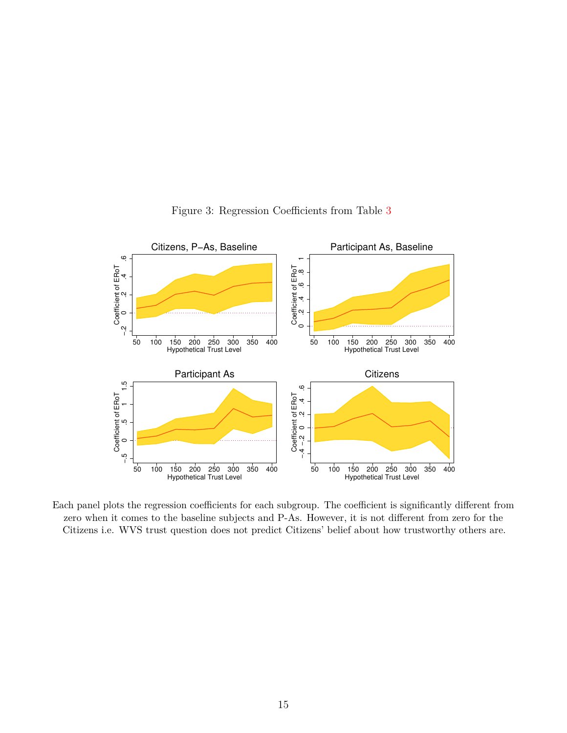

<span id="page-16-0"></span>Figure 3: Regression Coefficients from Table [3](#page-22-0)

Each panel plots the regression coefficients for each subgroup. The coefficient is significantly different from zero when it comes to the baseline subjects and P-As. However, it is not different from zero for the Citizens i.e. WVS trust question does not predict Citizens' belief about how trustworthy others are.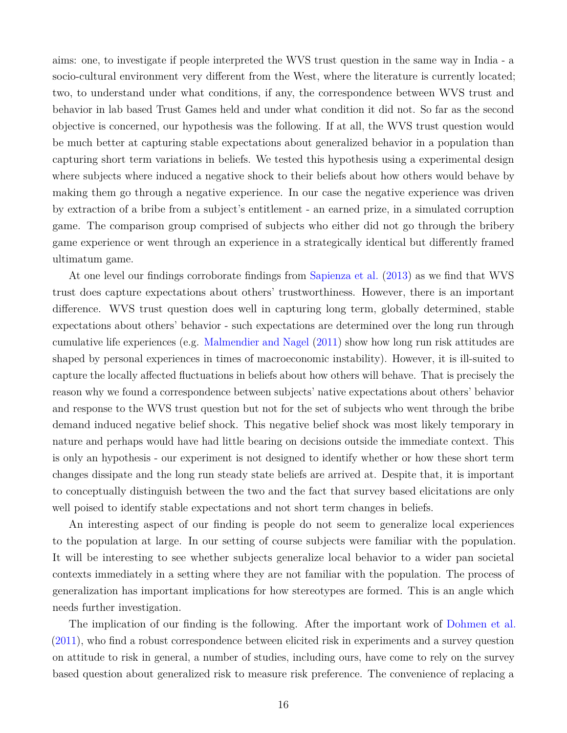aims: one, to investigate if people interpreted the WVS trust question in the same way in India - a socio-cultural environment very different from the West, where the literature is currently located; two, to understand under what conditions, if any, the correspondence between WVS trust and behavior in lab based Trust Games held and under what condition it did not. So far as the second objective is concerned, our hypothesis was the following. If at all, the WVS trust question would be much better at capturing stable expectations about generalized behavior in a population than capturing short term variations in beliefs. We tested this hypothesis using a experimental design where subjects where induced a negative shock to their beliefs about how others would behave by making them go through a negative experience. In our case the negative experience was driven by extraction of a bribe from a subject's entitlement - an earned prize, in a simulated corruption game. The comparison group comprised of subjects who either did not go through the bribery game experience or went through an experience in a strategically identical but differently framed ultimatum game.

At one level our findings corroborate findings from [Sapienza et al.](#page-20-1) [\(2013\)](#page-20-1) as we find that WVS trust does capture expectations about others' trustworthiness. However, there is an important difference. WVS trust question does well in capturing long term, globally determined, stable expectations about others' behavior - such expectations are determined over the long run through cumulative life experiences (e.g. [Malmendier and Nagel](#page-20-3) [\(2011\)](#page-20-3) show how long run risk attitudes are shaped by personal experiences in times of macroeconomic instability). However, it is ill-suited to capture the locally affected fluctuations in beliefs about how others will behave. That is precisely the reason why we found a correspondence between subjects' native expectations about others' behavior and response to the WVS trust question but not for the set of subjects who went through the bribe demand induced negative belief shock. This negative belief shock was most likely temporary in nature and perhaps would have had little bearing on decisions outside the immediate context. This is only an hypothesis - our experiment is not designed to identify whether or how these short term changes dissipate and the long run steady state beliefs are arrived at. Despite that, it is important to conceptually distinguish between the two and the fact that survey based elicitations are only well poised to identify stable expectations and not short term changes in beliefs.

An interesting aspect of our finding is people do not seem to generalize local experiences to the population at large. In our setting of course subjects were familiar with the population. It will be interesting to see whether subjects generalize local behavior to a wider pan societal contexts immediately in a setting where they are not familiar with the population. The process of generalization has important implications for how stereotypes are formed. This is an angle which needs further investigation.

The implication of our finding is the following. After the important work of [Dohmen et al.](#page-19-12) [\(2011\)](#page-19-12), who find a robust correspondence between elicited risk in experiments and a survey question on attitude to risk in general, a number of studies, including ours, have come to rely on the survey based question about generalized risk to measure risk preference. The convenience of replacing a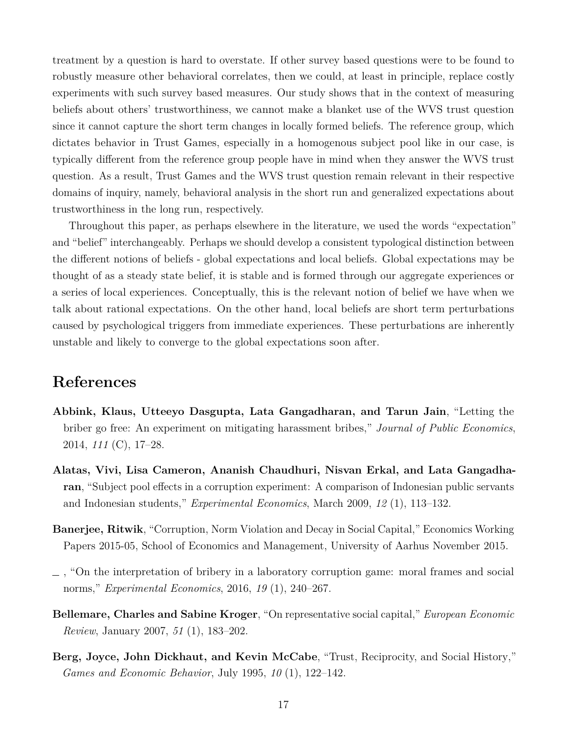treatment by a question is hard to overstate. If other survey based questions were to be found to robustly measure other behavioral correlates, then we could, at least in principle, replace costly experiments with such survey based measures. Our study shows that in the context of measuring beliefs about others' trustworthiness, we cannot make a blanket use of the WVS trust question since it cannot capture the short term changes in locally formed beliefs. The reference group, which dictates behavior in Trust Games, especially in a homogenous subject pool like in our case, is typically different from the reference group people have in mind when they answer the WVS trust question. As a result, Trust Games and the WVS trust question remain relevant in their respective domains of inquiry, namely, behavioral analysis in the short run and generalized expectations about trustworthiness in the long run, respectively.

Throughout this paper, as perhaps elsewhere in the literature, we used the words "expectation" and "belief" interchangeably. Perhaps we should develop a consistent typological distinction between the different notions of beliefs - global expectations and local beliefs. Global expectations may be thought of as a steady state belief, it is stable and is formed through our aggregate experiences or a series of local experiences. Conceptually, this is the relevant notion of belief we have when we talk about rational expectations. On the other hand, local beliefs are short term perturbations caused by psychological triggers from immediate experiences. These perturbations are inherently unstable and likely to converge to the global expectations soon after.

## **References**

- <span id="page-18-3"></span>**Abbink, Klaus, Utteeyo Dasgupta, Lata Gangadharan, and Tarun Jain**, "Letting the briber go free: An experiment on mitigating harassment bribes," *Journal of Public Economics*, 2014, *111* (C), 17–28.
- <span id="page-18-2"></span>**Alatas, Vivi, Lisa Cameron, Ananish Chaudhuri, Nisvan Erkal, and Lata Gangadharan**, "Subject pool effects in a corruption experiment: A comparison of Indonesian public servants and Indonesian students," *Experimental Economics*, March 2009, *12* (1), 113–132.
- <span id="page-18-5"></span>**Banerjee, Ritwik**, "Corruption, Norm Violation and Decay in Social Capital," Economics Working Papers 2015-05, School of Economics and Management, University of Aarhus November 2015.
- <span id="page-18-4"></span> $\Box$ , "On the interpretation of bribery in a laboratory corruption game: moral frames and social norms," *Experimental Economics*, 2016, *19* (1), 240–267.
- <span id="page-18-1"></span>**Bellemare, Charles and Sabine Kroger**, "On representative social capital," *European Economic Review*, January 2007, *51* (1), 183–202.
- <span id="page-18-0"></span>**Berg, Joyce, John Dickhaut, and Kevin McCabe**, "Trust, Reciprocity, and Social History," *Games and Economic Behavior*, July 1995, *10* (1), 122–142.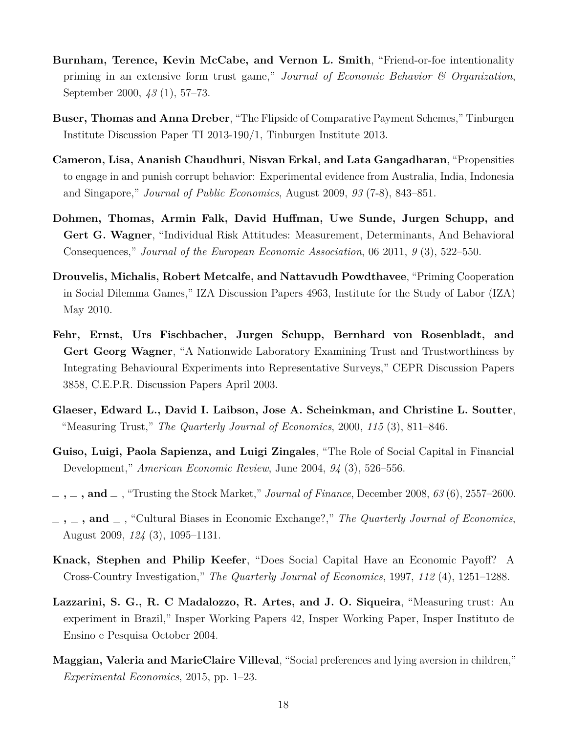- <span id="page-19-8"></span>**Burnham, Terence, Kevin McCabe, and Vernon L. Smith**, "Friend-or-foe intentionality priming in an extensive form trust game," *Journal of Economic Behavior & Organization*, September 2000, *43* (1), 57–73.
- <span id="page-19-10"></span>**Buser, Thomas and Anna Dreber**, "The Flipside of Comparative Payment Schemes," Tinburgen Institute Discussion Paper TI 2013-190/1, Tinburgen Institute 2013.
- <span id="page-19-7"></span>**Cameron, Lisa, Ananish Chaudhuri, Nisvan Erkal, and Lata Gangadharan**, "Propensities to engage in and punish corrupt behavior: Experimental evidence from Australia, India, Indonesia and Singapore," *Journal of Public Economics*, August 2009, *93* (7-8), 843–851.
- <span id="page-19-12"></span>**Dohmen, Thomas, Armin Falk, David Huffman, Uwe Sunde, Jurgen Schupp, and Gert G. Wagner**, "Individual Risk Attitudes: Measurement, Determinants, And Behavioral Consequences," *Journal of the European Economic Association*, 06 2011, *9* (3), 522–550.
- <span id="page-19-11"></span>**Drouvelis, Michalis, Robert Metcalfe, and Nattavudh Powdthavee**, "Priming Cooperation in Social Dilemma Games," IZA Discussion Papers 4963, Institute for the Study of Labor (IZA) May 2010.
- <span id="page-19-4"></span>**Fehr, Ernst, Urs Fischbacher, Jurgen Schupp, Bernhard von Rosenbladt, and Gert Georg Wagner**, "A Nationwide Laboratory Examining Trust and Trustworthiness by Integrating Behavioural Experiments into Representative Surveys," CEPR Discussion Papers 3858, C.E.P.R. Discussion Papers April 2003.
- <span id="page-19-5"></span>**Glaeser, Edward L., David I. Laibson, Jose A. Scheinkman, and Christine L. Soutter**, "Measuring Trust," *The Quarterly Journal of Economics*, 2000, *115* (3), 811–846.
- <span id="page-19-1"></span>**Guiso, Luigi, Paola Sapienza, and Luigi Zingales**, "The Role of Social Capital in Financial Development," *American Economic Review*, June 2004, *94* (3), 526–556.
- <span id="page-19-2"></span> $\ldots$ , **and**  $\ldots$ , "Trusting the Stock Market," *Journal of Finance*, December 2008, 63(6), 2557–2600.
- <span id="page-19-3"></span> $\mathbf{I}_1$ ,  $\mathbf{I}_2$ ,  $\mathbf{I}_3$ , "Cultural Biases in Economic Exchange?," *The Quarterly Journal of Economics*, August 2009, *124* (3), 1095–1131.
- <span id="page-19-0"></span>**Knack, Stephen and Philip Keefer**, "Does Social Capital Have an Economic Payoff? A Cross-Country Investigation," *The Quarterly Journal of Economics*, 1997, *112* (4), 1251–1288.
- <span id="page-19-6"></span>**Lazzarini, S. G., R. C Madalozzo, R. Artes, and J. O. Siqueira**, "Measuring trust: An experiment in Brazil," Insper Working Papers 42, Insper Working Paper, Insper Instituto de Ensino e Pesquisa October 2004.
- <span id="page-19-9"></span>**Maggian, Valeria and MarieClaire Villeval**, "Social preferences and lying aversion in children," *Experimental Economics*, 2015, pp. 1–23.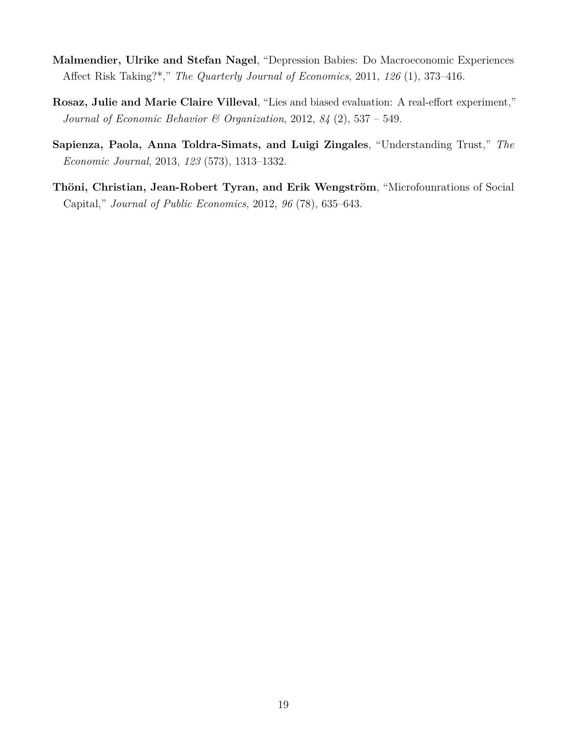- <span id="page-20-3"></span>**Malmendier, Ulrike and Stefan Nagel**, "Depression Babies: Do Macroeconomic Experiences Affect Risk Taking?\*," *The Quarterly Journal of Economics*, 2011, *126* (1), 373–416.
- <span id="page-20-2"></span>**Rosaz, Julie and Marie Claire Villeval**, "Lies and biased evaluation: A real-effort experiment," *Journal of Economic Behavior & Organization*, 2012, *84* (2), 537 – 549.
- <span id="page-20-1"></span>**Sapienza, Paola, Anna Toldra-Simats, and Luigi Zingales**, "Understanding Trust," *The Economic Journal*, 2013, *123* (573), 1313–1332.
- <span id="page-20-0"></span>**Thöni, Christian, Jean-Robert Tyran, and Erik Wengström**, "Microfounrations of Social Capital," *Journal of Public Economics*, 2012, *96* (78), 635–643.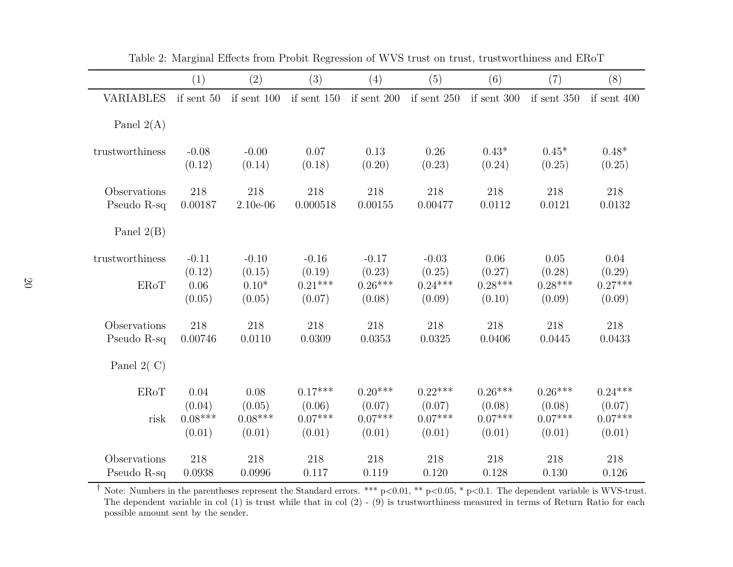|                  | (1)          | (2)           | (3)           | (4)           | (5)           | (6)           | (7)           | (8)           |
|------------------|--------------|---------------|---------------|---------------|---------------|---------------|---------------|---------------|
| <b>VARIABLES</b> | if sent $50$ | if sent $100$ | if sent $150$ | if sent $200$ | if sent $250$ | if sent $300$ | if sent $350$ | if sent $400$ |
| Panel $2(A)$     |              |               |               |               |               |               |               |               |
| trustworthiness  | $-0.08$      | $-0.00$       | 0.07          | 0.13          | 0.26          | $0.43*$       | $0.45*$       | $0.48*$       |
|                  | (0.12)       | (0.14)        | (0.18)        | (0.20)        | (0.23)        | (0.24)        | (0.25)        | (0.25)        |
| Observations     | 218          | 218           | 218           | 218           | 218           | 218           | 218           | 218           |
| Pseudo R-sq      | 0.00187      | $2.10e-06$    | 0.000518      | 0.00155       | 0.00477       | 0.0112        | 0.0121        | 0.0132        |
| Panel $2(B)$     |              |               |               |               |               |               |               |               |
| trustworthiness  | $-0.11$      | $-0.10$       | $-0.16$       | $-0.17$       | $-0.03$       | 0.06          | 0.05          | 0.04          |
|                  | (0.12)       | (0.15)        | (0.19)        | (0.23)        | (0.25)        | (0.27)        | (0.28)        | (0.29)        |
| <b>ERoT</b>      | 0.06         | $0.10*$       | $0.21***$     | $0.26***$     | $0.24***$     | $0.28***$     | $0.28***$     | $0.27***$     |
|                  | (0.05)       | (0.05)        | (0.07)        | (0.08)        | (0.09)        | (0.10)        | (0.09)        | (0.09)        |
| Observations     | 218          | 218           | 218           | 218           | 218           | 218           | 218           | 218           |
| Pseudo R-sq      | 0.00746      | 0.0110        | 0.0309        | 0.0353        | 0.0325        | 0.0406        | 0.0445        | 0.0433        |
| Panel $2( C)$    |              |               |               |               |               |               |               |               |
| <b>ERoT</b>      | 0.04         | 0.08          | $0.17***$     | $0.20***$     | $0.22***$     | $0.26***$     | $0.26***$     | $0.24***$     |
|                  | (0.04)       | (0.05)        | (0.06)        | (0.07)        | (0.07)        | (0.08)        | (0.08)        | (0.07)        |
| risk             | $0.08***$    | $0.08***$     | $0.07***$     | $0.07***$     | $0.07***$     | $0.07***$     | $0.07***$     | $0.07***$     |
|                  | (0.01)       | (0.01)        | (0.01)        | (0.01)        | (0.01)        | (0.01)        | (0.01)        | (0.01)        |
| Observations     | 218          | 218           | 218           | 218           | 218           | 218           | 218           | 218           |
| Pseudo R-sq      | 0.0938       | 0.0996        | 0.117         | 0.119         | 0.120         | 0.128         | 0.130         | 0.126         |

<span id="page-21-0"></span>Table 2: Marginal Effects from Probit Regression of WVS trust on trust, trustworthiness and ERoT

<sup>†</sup> Note: Numbers in the parentheses represent the Standard errors. \*\*\* p<0.01, \*\* p<0.05, \* p<0.1. The dependent variable is WVS-trust. The dependent variable in col (1) is trust while that in col (2) - (9) is trustworthiness measured in terms of Return Ratio for eachpossible amount sent by the sender.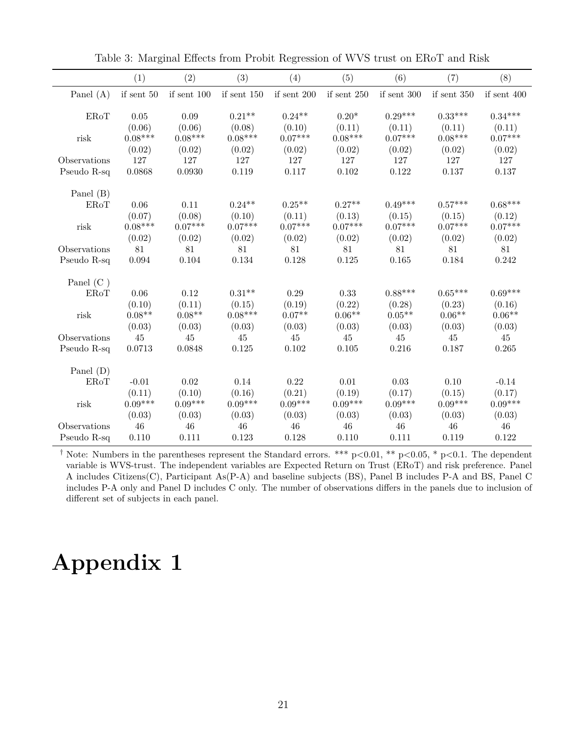|              | (1)          | (2)           | (3)           | (4)           | (5)           | (6)         | (7)           | (8)           |
|--------------|--------------|---------------|---------------|---------------|---------------|-------------|---------------|---------------|
| Panel $(A)$  | if sent $50$ | if sent $100$ | if sent $150$ | if sent $200$ | if sent $250$ | if sent 300 | if sent $350$ | if sent $400$ |
|              |              |               |               |               |               |             |               |               |
| <b>ERoT</b>  | 0.05         | 0.09          | $0.21**$      | $0.24**$      | $0.20*$       | $0.29***$   | $0.33***$     | $0.34***$     |
|              | (0.06)       | (0.06)        | (0.08)        | (0.10)        | (0.11)        | (0.11)      | (0.11)        | (0.11)        |
| risk         | $0.08***$    | $0.08***$     | $0.08***$     | $0.07***$     | $0.08***$     | $0.07***$   | $0.08***$     | $0.07***$     |
|              | (0.02)       | (0.02)        | (0.02)        | (0.02)        | (0.02)        | (0.02)      | (0.02)        | (0.02)        |
| Observations | 127          | 127           | 127           | 127           | 127           | 127         | 127           | 127           |
| Pseudo R-sq  | 0.0868       | 0.0930        | 0.119         | 0.117         | $0.102\,$     | 0.122       | 0.137         | 0.137         |
| Panel (B)    |              |               |               |               |               |             |               |               |
| <b>ERoT</b>  | 0.06         | 0.11          | $0.24**$      | $0.25**$      | $0.27**$      | $0.49***$   | $0.57***$     | $0.68***$     |
|              | (0.07)       | (0.08)        | (0.10)        | (0.11)        | (0.13)        | (0.15)      | (0.15)        | (0.12)        |
| risk         | $0.08***$    | $0.07***$     | $0.07***$     | $0.07***$     | $0.07***$     | $0.07***$   | $0.07***$     | $0.07***$     |
|              | (0.02)       | (0.02)        | (0.02)        | (0.02)        | (0.02)        | (0.02)      | (0.02)        | (0.02)        |
| Observations | 81           | 81            | 81            | 81            | 81            | 81          | 81            | 81            |
| Pseudo R-sq  | 0.094        | 0.104         | 0.134         | 0.128         | 0.125         | 0.165       | 0.184         | 0.242         |
|              |              |               |               |               |               |             |               |               |
| Panel $(C)$  |              |               |               |               |               |             |               |               |
| <b>ERoT</b>  | $0.06\,$     | 0.12          | $0.31**$      | $0.29\,$      | 0.33          | $0.88***$   | $0.65***$     | $0.69***$     |
|              | (0.10)       | (0.11)        | (0.15)        | (0.19)        | (0.22)        | (0.28)      | (0.23)        | (0.16)        |
| risk         | $0.08**$     | $0.08**$      | $0.08***$     | $0.07**$      | $0.06**$      | $0.05**$    | $0.06**$      | $0.06**$      |
|              | (0.03)       | (0.03)        | (0.03)        | (0.03)        | (0.03)        | (0.03)      | (0.03)        | (0.03)        |
| Observations | 45           | 45            | 45            | 45            | 45            | 45          | 45            | 45            |
| Pseudo R-sq  | 0.0713       | 0.0848        | 0.125         | 0.102         | 0.105         | 0.216       | 0.187         | 0.265         |
| Panel $(D)$  |              |               |               |               |               |             |               |               |
| ERoT         | $-0.01$      | 0.02          | 0.14          | $0.22\,$      | 0.01          | $0.03\,$    | 0.10          | $-0.14$       |
|              | (0.11)       | (0.10)        | (0.16)        | (0.21)        | (0.19)        | (0.17)      | (0.15)        | (0.17)        |
| risk         | $0.09***$    | $0.09***$     | $0.09***$     | $0.09***$     | $0.09***$     | $0.09***$   | $0.09***$     | $0.09***$     |
|              | (0.03)       | (0.03)        | (0.03)        | (0.03)        | (0.03)        | (0.03)      | (0.03)        | (0.03)        |
| Observations | 46           | 46            | 46            | 46            | 46            | 46          | 46            | 46            |
| Pseudo R-sq  | 0.110        | 0.111         | 0.123         | 0.128         | 0.110         | 0.111       | 0.119         | 0.122         |

<span id="page-22-0"></span>Table 3: Marginal Effects from Probit Regression of WVS trust on ERoT and Risk

<sup>†</sup> Note: Numbers in the parentheses represent the Standard errors. \*\*\* p<0.01, \*\* p<0.05, \* p<0.1. The dependent variable is WVS-trust. The independent variables are Expected Return on Trust (ERoT) and risk preference. Panel A includes Citizens(C), Participant As(P-A) and baseline subjects (BS), Panel B includes P-A and BS, Panel C includes P-A only and Panel D includes C only. The number of observations differs in the panels due to inclusion of different set of subjects in each panel.

# **Appendix 1**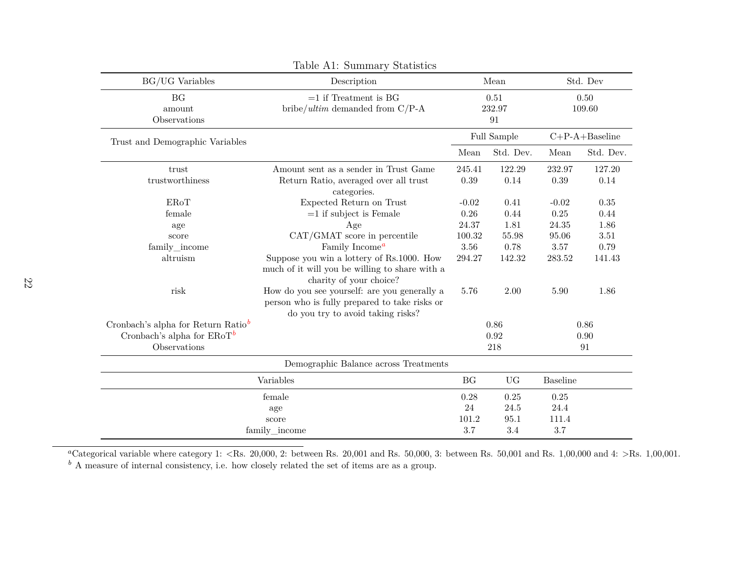<span id="page-23-1"></span><span id="page-23-0"></span>

| Table A1: Summary Statistics           |                                                                                                                                    |           |                      |                 |                   |  |  |
|----------------------------------------|------------------------------------------------------------------------------------------------------------------------------------|-----------|----------------------|-----------------|-------------------|--|--|
| <b>BG/UG</b> Variables                 | Description                                                                                                                        |           | Mean                 |                 | Std. Dev          |  |  |
| <b>BG</b><br>amount<br>Observations    | $=1$ if Treatment is BG<br>bribe/ultim demanded from $C/P-A$                                                                       |           | 0.51<br>232.97<br>91 | 0.50<br>109.60  |                   |  |  |
| Trust and Demographic Variables        |                                                                                                                                    |           | Full Sample          |                 | $C+P-A+B$ aseline |  |  |
|                                        |                                                                                                                                    | Mean      | Std. Dev.            | Mean            | Std. Dev.         |  |  |
| trust                                  | Amount sent as a sender in Trust Game                                                                                              | 245.41    | 122.29               | 232.97          | 127.20            |  |  |
| trustworthiness                        | Return Ratio, averaged over all trust<br>categories.                                                                               | 0.39      | 0.14                 | 0.39            | 0.14              |  |  |
| EROT                                   | Expected Return on Trust                                                                                                           | $-0.02$   | 0.41                 | $-0.02$         | $0.35\,$          |  |  |
| female                                 | $=1$ if subject is Female                                                                                                          | 0.26      | 0.44                 | 0.25            | 0.44              |  |  |
| age                                    | Age                                                                                                                                | 24.37     | 1.81                 | 24.35           | 1.86              |  |  |
| score                                  | CAT/GMAT score in percentile                                                                                                       | 100.32    | 55.98                | 95.06           | 3.51              |  |  |
| family_income                          | Family Income <sup><math>a</math></sup>                                                                                            | 3.56      | 0.78                 | $3.57\,$        | 0.79              |  |  |
| altruism                               | Suppose you win a lottery of Rs.1000. How<br>much of it will you be willing to share with a<br>charity of your choice?             | 294.27    | 142.32               | 283.52          | 141.43            |  |  |
| risk                                   | How do you see yourself: are you generally a<br>person who is fully prepared to take risks or<br>do you try to avoid taking risks? | 5.76      | 2.00                 | 5.90            | 1.86              |  |  |
| Cronbach's alpha for Return Ratio $^b$ |                                                                                                                                    |           | 0.86                 |                 | 0.86              |  |  |
| Cronbach's alpha for $ERoT^b$          |                                                                                                                                    |           | 0.92                 |                 | 0.90              |  |  |
| Observations                           |                                                                                                                                    |           | 218                  |                 | 91                |  |  |
|                                        | Demographic Balance across Treatments                                                                                              |           |                      |                 |                   |  |  |
|                                        | Variables                                                                                                                          | <b>BG</b> | <b>UG</b>            | <b>Baseline</b> |                   |  |  |
|                                        | female                                                                                                                             | 0.28      | 0.25                 | 0.25            |                   |  |  |
|                                        | age                                                                                                                                | 24        | 24.5                 | 24.4            |                   |  |  |
|                                        | score                                                                                                                              | 101.2     | 95.1                 | 111.4           |                   |  |  |
|                                        | family_income                                                                                                                      | 3.7       | 3.4                  | 3.7             |                   |  |  |

 $a_{\text{Categorical}}$  variable where category 1:  $\langle$ Rs. 20,000, 2: between Rs. 20,001 and Rs. 50,000, 3: between Rs. 50,001 and Rs. 1,00,000 and 4:  $>$ Rs. 1,00,001. *b* A measure of internal consistency, i.e. how closely related the set of items are as <sup>a</sup> group.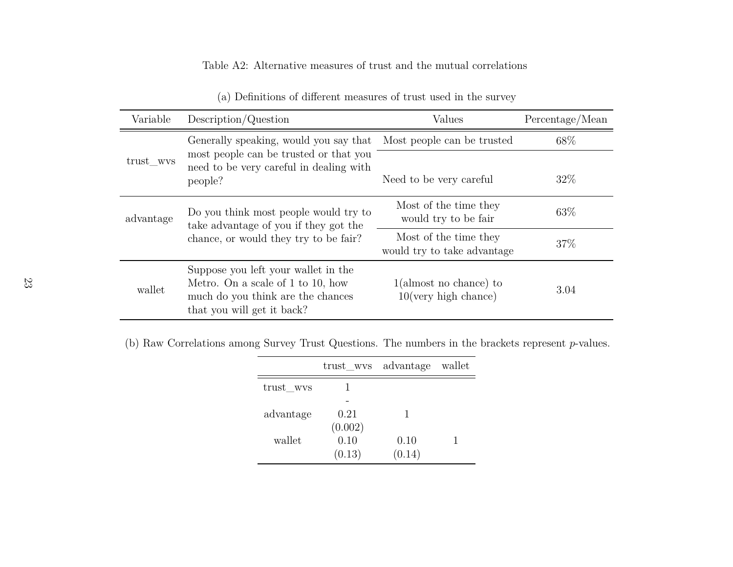## Table A2: Alternative measures of trust and the mutual correlations

| Variable                                                                                                  | Description/Question                                                                                                                        | Values                                               | Percentage/Mean |
|-----------------------------------------------------------------------------------------------------------|---------------------------------------------------------------------------------------------------------------------------------------------|------------------------------------------------------|-----------------|
|                                                                                                           | Generally speaking, would you say that                                                                                                      | Most people can be trusted                           | 68\%            |
| most people can be trusted or that you<br>trust wvs<br>need to be very careful in dealing with<br>people? | Need to be very careful                                                                                                                     | 32%                                                  |                 |
| advantage                                                                                                 | Do you think most people would try to<br>take advantage of you if they got the                                                              | Most of the time they<br>would try to be fair        | 63\%            |
|                                                                                                           | chance, or would they try to be fair?                                                                                                       | Most of the time they<br>would try to take advantage | 37\%            |
| wallet                                                                                                    | Suppose you left your wallet in the<br>Metro. On a scale of 1 to 10, how<br>much do you think are the chances<br>that you will get it back? | $1$ (almost no chance) to<br>$10$ (very high chance) | 3.04            |

(a) Definitions of different measures of trust used in the survey

(b) Raw Correlations among Survey Trust Questions. The numbers in the brackets represent*p*-values.

|           | trust wys advantage |        | wallet |
|-----------|---------------------|--------|--------|
| trust_wvs |                     |        |        |
|           |                     |        |        |
| advantage | 0.21                |        |        |
|           | (0.002)             |        |        |
| wallet    | 0.10                | 0.10   |        |
|           | (0.13)              | (0.14) |        |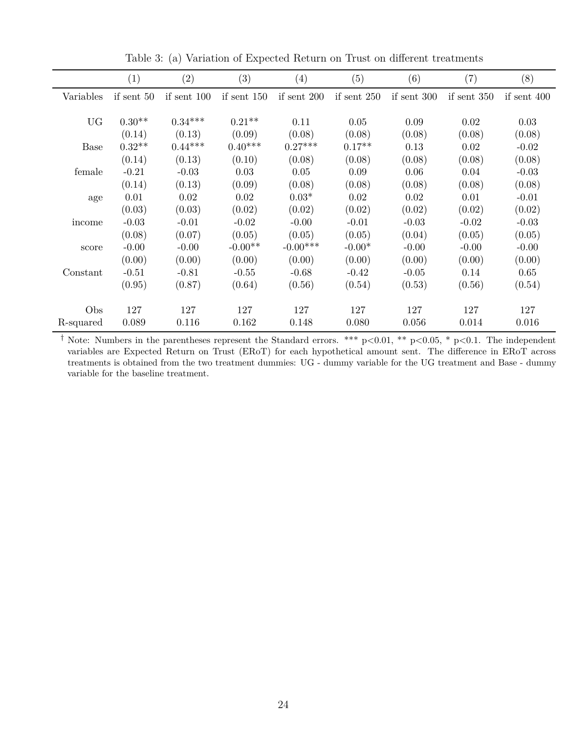|           | (1)        | (2)           | (3)           | (4)           | (5)           | (6)           | (7)           | (8)         |
|-----------|------------|---------------|---------------|---------------|---------------|---------------|---------------|-------------|
| Variables | if sent 50 | if sent $100$ | if sent $150$ | if sent $200$ | if sent $250$ | if sent $300$ | if sent $350$ | if sent 400 |
|           |            |               |               |               |               |               |               |             |
| <b>UG</b> | $0.30**$   | $0.34***$     | $0.21**$      | 0.11          | 0.05          | 0.09          | 0.02          | 0.03        |
|           | (0.14)     | (0.13)        | (0.09)        | (0.08)        | (0.08)        | (0.08)        | (0.08)        | (0.08)      |
| Base      | $0.32**$   | $0.44***$     | $0.40***$     | $0.27***$     | $0.17**$      | 0.13          | 0.02          | $-0.02$     |
|           | (0.14)     | (0.13)        | (0.10)        | (0.08)        | (0.08)        | (0.08)        | (0.08)        | (0.08)      |
| female    | $-0.21$    | $-0.03$       | 0.03          | 0.05          | 0.09          | 0.06          | 0.04          | $-0.03$     |
|           | (0.14)     | (0.13)        | (0.09)        | (0.08)        | (0.08)        | (0.08)        | (0.08)        | (0.08)      |
| age       | 0.01       | 0.02          | 0.02          | $0.03*$       | 0.02          | 0.02          | 0.01          | $-0.01$     |
|           | (0.03)     | (0.03)        | (0.02)        | (0.02)        | (0.02)        | (0.02)        | (0.02)        | (0.02)      |
| income    | $-0.03$    | $-0.01$       | $-0.02$       | $-0.00$       | $-0.01$       | $-0.03$       | $-0.02$       | $-0.03$     |
|           | (0.08)     | (0.07)        | (0.05)        | (0.05)        | (0.05)        | (0.04)        | (0.05)        | (0.05)      |
| score     | $-0.00$    | $-0.00$       | $-0.00**$     | $-0.00***$    | $-0.00*$      | $-0.00$       | $-0.00$       | $-0.00$     |
|           | (0.00)     | (0.00)        | (0.00)        | (0.00)        | (0.00)        | (0.00)        | (0.00)        | (0.00)      |
| Constant  | $-0.51$    | $-0.81$       | $-0.55$       | $-0.68$       | $-0.42$       | $-0.05$       | 0.14          | 0.65        |
|           | (0.95)     | (0.87)        | (0.64)        | (0.56)        | (0.54)        | (0.53)        | (0.56)        | (0.54)      |
|           |            |               |               |               |               |               |               |             |
| Obs       | 127        | 127           | 127           | 127           | 127           | 127           | 127           | 127         |
| R-squared | 0.089      | 0.116         | 0.162         | 0.148         | 0.080         | 0.056         | 0.014         | 0.016       |

Table 3: (a) Variation of Expected Return on Trust on different treatments

<sup>†</sup> Note: Numbers in the parentheses represent the Standard errors. \*\*\* p<0.01, \*\* p<0.05, \* p<0.1. The independent variables are Expected Return on Trust (ERoT) for each hypothetical amount sent. The difference in ERoT across treatments is obtained from the two treatment dummies: UG - dummy variable for the UG treatment and Base - dummy variable for the baseline treatment.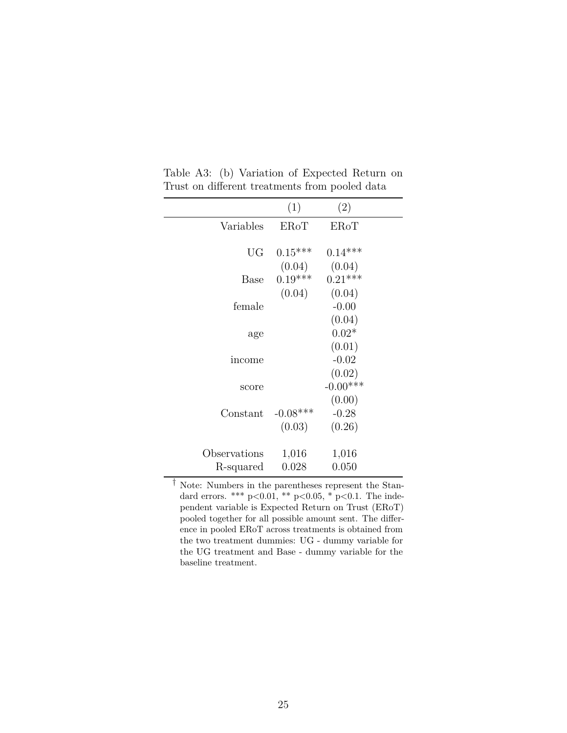|              | (1)         | (2)         |  |
|--------------|-------------|-------------|--|
| Variables    | <b>EROT</b> | <b>EROT</b> |  |
|              |             |             |  |
| UG           | $0.15***$   | $0.14***$   |  |
|              | (0.04)      | (0.04)      |  |
| Base         | $0.19***$   | $0.21***$   |  |
|              | (0.04)      | (0.04)      |  |
| female       |             | $-0.00$     |  |
|              |             | (0.04)      |  |
| age          |             | $0.02*$     |  |
|              |             | (0.01)      |  |
| income       |             | $-0.02$     |  |
|              |             | (0.02)      |  |
| score        |             | $-0.00***$  |  |
|              |             | (0.00)      |  |
| Constant     | $-0.08$ *** | $-0.28$     |  |
|              | (0.03)      | (0.26)      |  |
|              |             |             |  |
| Observations | 1,016       | 1,016       |  |
| R-squared    | 0.028       | 0.050       |  |

Table A3: (b) Variation of Expected Return on Trust on different treatments from pooled data

† Note: Numbers in the parentheses represent the Standard errors. \*\*\*  $p < 0.01$ , \*\*  $p < 0.05$ , \*  $p < 0.1$ . The independent variable is Expected Return on Trust (ERoT) pooled together for all possible amount sent. The difference in pooled ERoT across treatments is obtained from the two treatment dummies: UG - dummy variable for the UG treatment and Base - dummy variable for the baseline treatment.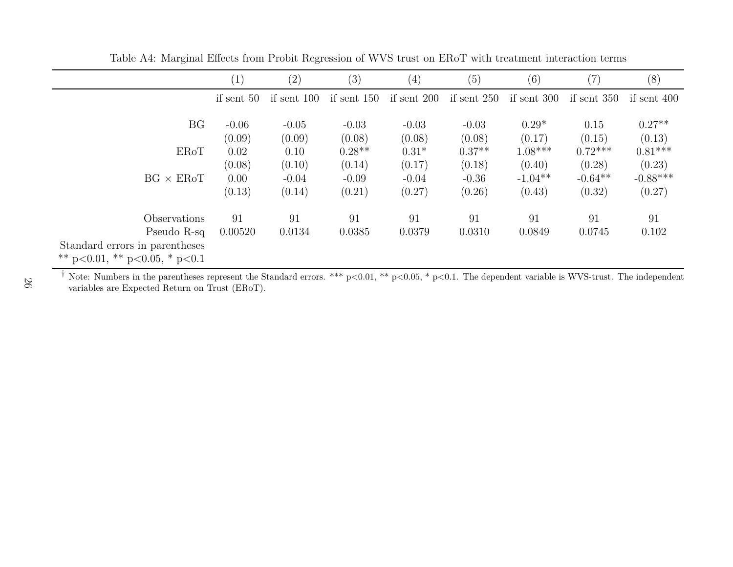|                                       | $\left( 1 \right)$ | $\left( 2\right)$ | (3)               | $\left( 4\right)$ | (5)               | (6)               | (7)            | (8)                |
|---------------------------------------|--------------------|-------------------|-------------------|-------------------|-------------------|-------------------|----------------|--------------------|
|                                       | if sent 50         | if sent 100       | if sent 150       | if sent $200$     | if sent $250$     | if sent 300       | if sent $350$  | if sent $400$      |
| BG                                    | $-0.06$<br>(0.09)  | $-0.05$<br>(0.09) | $-0.03$<br>(0.08) | $-0.03$<br>(0.08) | $-0.03$<br>(0.08) | $0.29*$<br>(0.17) | 0.15<br>(0.15) | $0.27**$<br>(0.13) |
| ERoT                                  | 0.02               | 0.10              | $0.28**$          | $0.31*$           | $0.37**$          | $1.08***$         | $0.72***$      | $0.81***$          |
|                                       | (0.08)             | (0.10)            | (0.14)            | (0.17)            | (0.18)            | (0.40)            | (0.28)         | (0.23)             |
| $BG \times ERoT$                      | 0.00               | $-0.04$           | $-0.09$           | $-0.04$           | $-0.36$           | $-1.04**$         | $-0.64**$      | $-0.88***$         |
|                                       | (0.13)             | (0.14)            | (0.21)            | (0.27)            | (0.26)            | (0.43)            | (0.32)         | (0.27)             |
| Observations                          | 91                 | 91                | 91                | 91                | 91                | 91                | 91             | 91                 |
| Pseudo R-sq                           | 0.00520            | 0.0134            | 0.0385            | 0.0379            | 0.0310            | 0.0849            | 0.0745         | 0.102              |
| Standard errors in parentheses        |                    |                   |                   |                   |                   |                   |                |                    |
| ** $p<0.01$ , ** $p<0.05$ , * $p<0.1$ |                    |                   |                   |                   |                   |                   |                |                    |

Table A4: Marginal Effects from Probit Regression of WVS trust on ERoT with treatment interaction terms

<sup>†</sup> Note: Numbers in the parentheses represent the Standard errors. \*\*\* p<0.01, \*\* p<0.05, \* p<0.1. The dependent variable is WVS-trust. The independent variables are Expected Return on Trust (ERoT).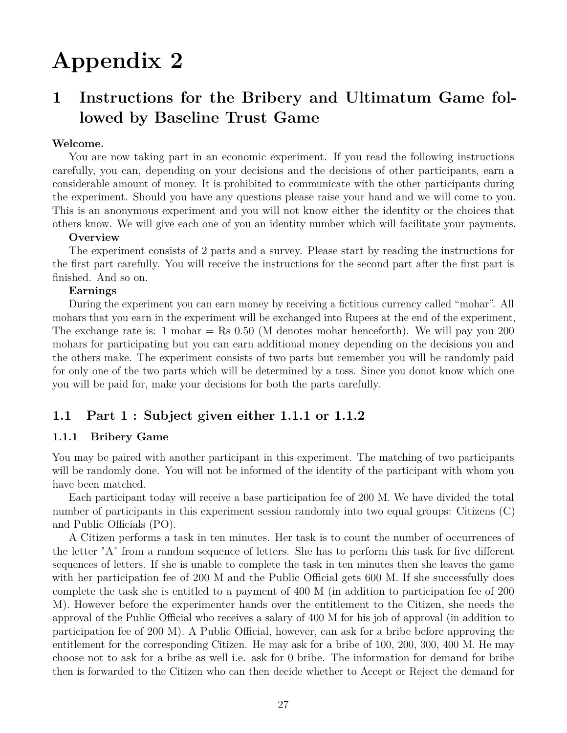# **Appendix 2**

# **1 Instructions for the Bribery and Ultimatum Game followed by Baseline Trust Game**

#### **Welcome.**

You are now taking part in an economic experiment. If you read the following instructions carefully, you can, depending on your decisions and the decisions of other participants, earn a considerable amount of money. It is prohibited to communicate with the other participants during the experiment. Should you have any questions please raise your hand and we will come to you. This is an anonymous experiment and you will not know either the identity or the choices that others know. We will give each one of you an identity number which will facilitate your payments.

#### **Overview**

The experiment consists of 2 parts and a survey. Please start by reading the instructions for the first part carefully. You will receive the instructions for the second part after the first part is finished. And so on.

#### **Earnings**

During the experiment you can earn money by receiving a fictitious currency called "mohar". All mohars that you earn in the experiment will be exchanged into Rupees at the end of the experiment, The exchange rate is: 1 mohar  $=$  Rs 0.50 (M denotes mohar henceforth). We will pay you 200 mohars for participating but you can earn additional money depending on the decisions you and the others make. The experiment consists of two parts but remember you will be randomly paid for only one of the two parts which will be determined by a toss. Since you donot know which one you will be paid for, make your decisions for both the parts carefully.

#### **1.1 Part 1 : Subject given either 1.1.1 or 1.1.2**

#### **1.1.1 Bribery Game**

You may be paired with another participant in this experiment. The matching of two participants will be randomly done. You will not be informed of the identity of the participant with whom you have been matched.

Each participant today will receive a base participation fee of 200 M. We have divided the total number of participants in this experiment session randomly into two equal groups: Citizens (C) and Public Officials (PO).

A Citizen performs a task in ten minutes. Her task is to count the number of occurrences of the letter "A" from a random sequence of letters. She has to perform this task for five different sequences of letters. If she is unable to complete the task in ten minutes then she leaves the game with her participation fee of 200 M and the Public Official gets 600 M. If she successfully does complete the task she is entitled to a payment of 400 M (in addition to participation fee of 200 M). However before the experimenter hands over the entitlement to the Citizen, she needs the approval of the Public Official who receives a salary of 400 M for his job of approval (in addition to participation fee of 200 M). A Public Official, however, can ask for a bribe before approving the entitlement for the corresponding Citizen. He may ask for a bribe of 100, 200, 300, 400 M. He may choose not to ask for a bribe as well i.e. ask for 0 bribe. The information for demand for bribe then is forwarded to the Citizen who can then decide whether to Accept or Reject the demand for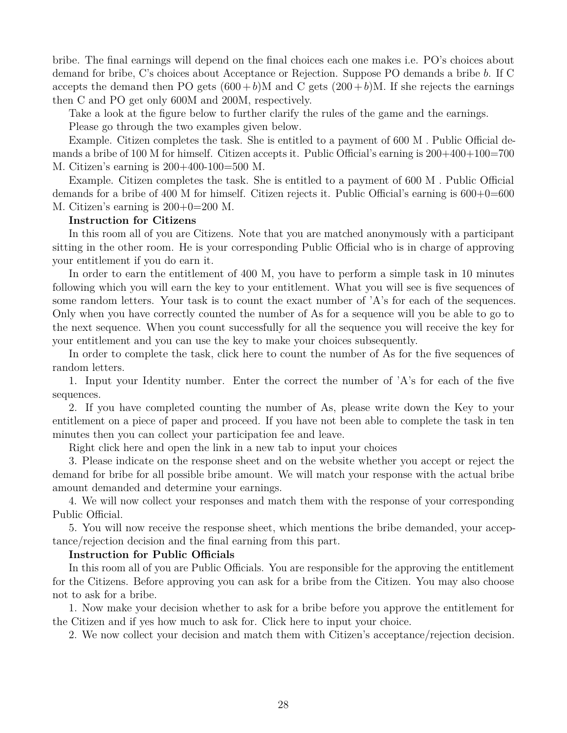bribe. The final earnings will depend on the final choices each one makes i.e. PO's choices about demand for bribe, C's choices about Acceptance or Rejection. Suppose PO demands a bribe *b*. If C accepts the demand then PO gets  $(600 + b)$ M and C gets  $(200 + b)$ M. If she rejects the earnings then C and PO get only 600M and 200M, respectively.

Take a look at the figure below to further clarify the rules of the game and the earnings.

Please go through the two examples given below.

Example. Citizen completes the task. She is entitled to a payment of 600 M . Public Official demands a bribe of 100 M for himself. Citizen accepts it. Public Official's earning is 200+400+100=700 M. Citizen's earning is 200+400-100=500 M.

Example. Citizen completes the task. She is entitled to a payment of 600 M . Public Official demands for a bribe of 400 M for himself. Citizen rejects it. Public Official's earning is  $600+0=600$ M. Citizen's earning is 200+0=200 M.

#### **Instruction for Citizens**

In this room all of you are Citizens. Note that you are matched anonymously with a participant sitting in the other room. He is your corresponding Public Official who is in charge of approving your entitlement if you do earn it.

In order to earn the entitlement of 400 M, you have to perform a simple task in 10 minutes following which you will earn the key to your entitlement. What you will see is five sequences of some random letters. Your task is to count the exact number of 'A's for each of the sequences. Only when you have correctly counted the number of As for a sequence will you be able to go to the next sequence. When you count successfully for all the sequence you will receive the key for your entitlement and you can use the key to make your choices subsequently.

In order to complete the task, click here to count the number of As for the five sequences of random letters.

1. Input your Identity number. Enter the correct the number of 'A's for each of the five sequences.

2. If you have completed counting the number of As, please write down the Key to your entitlement on a piece of paper and proceed. If you have not been able to complete the task in ten minutes then you can collect your participation fee and leave.

Right click here and open the link in a new tab to input your choices

3. Please indicate on the response sheet and on the website whether you accept or reject the demand for bribe for all possible bribe amount. We will match your response with the actual bribe amount demanded and determine your earnings.

4. We will now collect your responses and match them with the response of your corresponding Public Official.

5. You will now receive the response sheet, which mentions the bribe demanded, your acceptance/rejection decision and the final earning from this part.

#### **Instruction for Public Officials**

In this room all of you are Public Officials. You are responsible for the approving the entitlement for the Citizens. Before approving you can ask for a bribe from the Citizen. You may also choose not to ask for a bribe.

1. Now make your decision whether to ask for a bribe before you approve the entitlement for the Citizen and if yes how much to ask for. Click here to input your choice.

2. We now collect your decision and match them with Citizen's acceptance/rejection decision.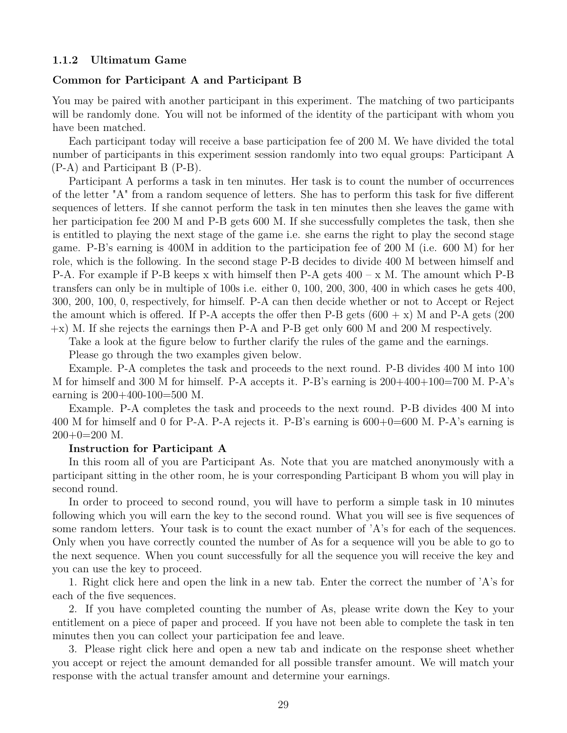#### **1.1.2 Ultimatum Game**

#### **Common for Participant A and Participant B**

You may be paired with another participant in this experiment. The matching of two participants will be randomly done. You will not be informed of the identity of the participant with whom you have been matched.

Each participant today will receive a base participation fee of 200 M. We have divided the total number of participants in this experiment session randomly into two equal groups: Participant A (P-A) and Participant B (P-B).

Participant A performs a task in ten minutes. Her task is to count the number of occurrences of the letter "A" from a random sequence of letters. She has to perform this task for five different sequences of letters. If she cannot perform the task in ten minutes then she leaves the game with her participation fee 200 M and P-B gets 600 M. If she successfully completes the task, then she is entitled to playing the next stage of the game i.e. she earns the right to play the second stage game. P-B's earning is 400M in addition to the participation fee of 200 M (i.e. 600 M) for her role, which is the following. In the second stage P-B decides to divide 400 M between himself and P-A. For example if P-B keeps x with himself then P-A gets  $400 - x$  M. The amount which P-B transfers can only be in multiple of 100s i.e. either 0, 100, 200, 300, 400 in which cases he gets 400, 300, 200, 100, 0, respectively, for himself. P-A can then decide whether or not to Accept or Reject the amount which is offered. If P-A accepts the offer then P-B gets  $(600 + x)$  M and P-A gets  $(200$ +x) M. If she rejects the earnings then P-A and P-B get only 600 M and 200 M respectively.

Take a look at the figure below to further clarify the rules of the game and the earnings.

Please go through the two examples given below.

Example. P-A completes the task and proceeds to the next round. P-B divides 400 M into 100 M for himself and 300 M for himself. P-A accepts it. P-B's earning is 200+400+100=700 M. P-A's earning is 200+400-100=500 M.

Example. P-A completes the task and proceeds to the next round. P-B divides 400 M into 400 M for himself and 0 for P-A. P-A rejects it. P-B's earning is 600+0=600 M. P-A's earning is  $200+0=200$  M.

#### **Instruction for Participant A**

In this room all of you are Participant As. Note that you are matched anonymously with a participant sitting in the other room, he is your corresponding Participant B whom you will play in second round.

In order to proceed to second round, you will have to perform a simple task in 10 minutes following which you will earn the key to the second round. What you will see is five sequences of some random letters. Your task is to count the exact number of 'A's for each of the sequences. Only when you have correctly counted the number of As for a sequence will you be able to go to the next sequence. When you count successfully for all the sequence you will receive the key and you can use the key to proceed.

1. Right click here and open the link in a new tab. Enter the correct the number of 'A's for each of the five sequences.

2. If you have completed counting the number of As, please write down the Key to your entitlement on a piece of paper and proceed. If you have not been able to complete the task in ten minutes then you can collect your participation fee and leave.

3. Please right click here and open a new tab and indicate on the response sheet whether you accept or reject the amount demanded for all possible transfer amount. We will match your response with the actual transfer amount and determine your earnings.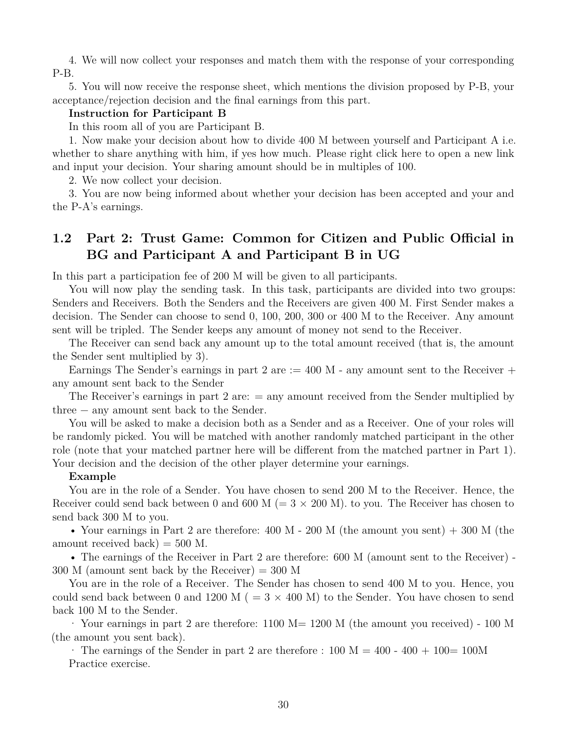4. We will now collect your responses and match them with the response of your corresponding P-B.

5. You will now receive the response sheet, which mentions the division proposed by P-B, your acceptance/rejection decision and the final earnings from this part.

#### **Instruction for Participant B**

In this room all of you are Participant B.

1. Now make your decision about how to divide 400 M between yourself and Participant A i.e. whether to share anything with him, if yes how much. Please right click here to open a new link and input your decision. Your sharing amount should be in multiples of 100.

2. We now collect your decision.

3. You are now being informed about whether your decision has been accepted and your and the P-A's earnings.

## **1.2 Part 2: Trust Game: Common for Citizen and Public Official in BG and Participant A and Participant B in UG**

In this part a participation fee of 200 M will be given to all participants.

You will now play the sending task. In this task, participants are divided into two groups: Senders and Receivers. Both the Senders and the Receivers are given 400 M. First Sender makes a decision. The Sender can choose to send 0, 100, 200, 300 or 400 M to the Receiver. Any amount sent will be tripled. The Sender keeps any amount of money not send to the Receiver.

The Receiver can send back any amount up to the total amount received (that is, the amount the Sender sent multiplied by 3).

Earnings The Sender's earnings in part 2 are  $:= 400$  M - any amount sent to the Receiver  $+$ any amount sent back to the Sender

The Receiver's earnings in part 2 are:  $=$  any amount received from the Sender multiplied by three − any amount sent back to the Sender.

You will be asked to make a decision both as a Sender and as a Receiver. One of your roles will be randomly picked. You will be matched with another randomly matched participant in the other role (note that your matched partner here will be different from the matched partner in Part 1). Your decision and the decision of the other player determine your earnings.

#### **Example**

You are in the role of a Sender. You have chosen to send 200 M to the Receiver. Hence, the Receiver could send back between 0 and 600 M ( $= 3 \times 200$  M). to you. The Receiver has chosen to send back 300 M to you.

• Your earnings in Part 2 are therefore:  $400 \text{ M}$  -  $200 \text{ M}$  (the amount you sent) + 300 M (the amount received back)  $= 500$  M.

• The earnings of the Receiver in Part 2 are therefore: 600 M (amount sent to the Receiver) -  $300$  M (amount sent back by the Receiver) = 300 M

You are in the role of a Receiver. The Sender has chosen to send 400 M to you. Hence, you could send back between 0 and 1200 M ( $= 3 \times 400$  M) to the Sender. You have chosen to send back 100 M to the Sender.

· Your earnings in part 2 are therefore: 1100 M= 1200 M (the amount you received) - 100 M (the amount you sent back).

 $\cdot$  The earnings of the Sender in part 2 are therefore : 100 M = 400 - 400 + 100 = 100 M Practice exercise.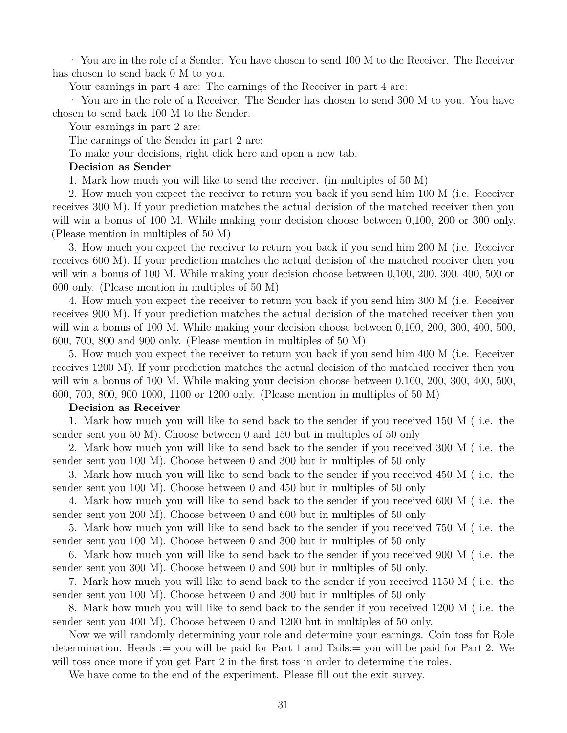· You are in the role of a Sender. You have chosen to send 100 M to the Receiver. The Receiver has chosen to send back 0 M to you.

Your earnings in part 4 are: The earnings of the Receiver in part 4 are:

· You are in the role of a Receiver. The Sender has chosen to send 300 M to you. You have chosen to send back 100 M to the Sender.

Your earnings in part 2 are:

The earnings of the Sender in part 2 are:

To make your decisions, right click here and open a new tab.

#### **Decision as Sender**

1. Mark how much you will like to send the receiver. (in multiples of 50 M)

2. How much you expect the receiver to return you back if you send him 100 M (i.e. Receiver receives 300 M). If your prediction matches the actual decision of the matched receiver then you will win a bonus of 100 M. While making your decision choose between 0,100, 200 or 300 only. (Please mention in multiples of 50 M)

3. How much you expect the receiver to return you back if you send him 200 M (i.e. Receiver receives 600 M). If your prediction matches the actual decision of the matched receiver then you will win a bonus of 100 M. While making your decision choose between 0,100, 200, 300, 400, 500 or 600 only. (Please mention in multiples of 50 M)

4. How much you expect the receiver to return you back if you send him 300 M (i.e. Receiver receives 900 M). If your prediction matches the actual decision of the matched receiver then you will win a bonus of 100 M. While making your decision choose between 0,100, 200, 300, 400, 500, 600, 700, 800 and 900 only. (Please mention in multiples of 50 M)

5. How much you expect the receiver to return you back if you send him 400 M (i.e. Receiver receives 1200 M). If your prediction matches the actual decision of the matched receiver then you will win a bonus of 100 M. While making your decision choose between 0,100, 200, 300, 400, 500, 600, 700, 800, 900 1000, 1100 or 1200 only. (Please mention in multiples of 50 M)

#### **Decision as Receiver**

1. Mark how much you will like to send back to the sender if you received 150 M ( i.e. the sender sent you 50 M). Choose between 0 and 150 but in multiples of 50 only

2. Mark how much you will like to send back to the sender if you received 300 M ( i.e. the sender sent you 100 M). Choose between 0 and 300 but in multiples of 50 only

3. Mark how much you will like to send back to the sender if you received 450 M ( i.e. the sender sent you 100 M). Choose between 0 and 450 but in multiples of 50 only

4. Mark how much you will like to send back to the sender if you received 600 M ( i.e. the sender sent you 200 M). Choose between 0 and 600 but in multiples of 50 only

5. Mark how much you will like to send back to the sender if you received 750 M ( i.e. the sender sent you 100 M). Choose between 0 and 300 but in multiples of 50 only

6. Mark how much you will like to send back to the sender if you received 900 M ( i.e. the sender sent you 300 M). Choose between 0 and 900 but in multiples of 50 only.

7. Mark how much you will like to send back to the sender if you received 1150 M ( i.e. the sender sent you 100 M). Choose between 0 and 300 but in multiples of 50 only

8. Mark how much you will like to send back to the sender if you received 1200 M ( i.e. the sender sent you 400 M). Choose between 0 and 1200 but in multiples of 50 only.

Now we will randomly determining your role and determine your earnings. Coin toss for Role determination. Heads := you will be paid for Part 1 and Tails:= you will be paid for Part 2. We will toss once more if you get Part 2 in the first toss in order to determine the roles.

We have come to the end of the experiment. Please fill out the exit survey.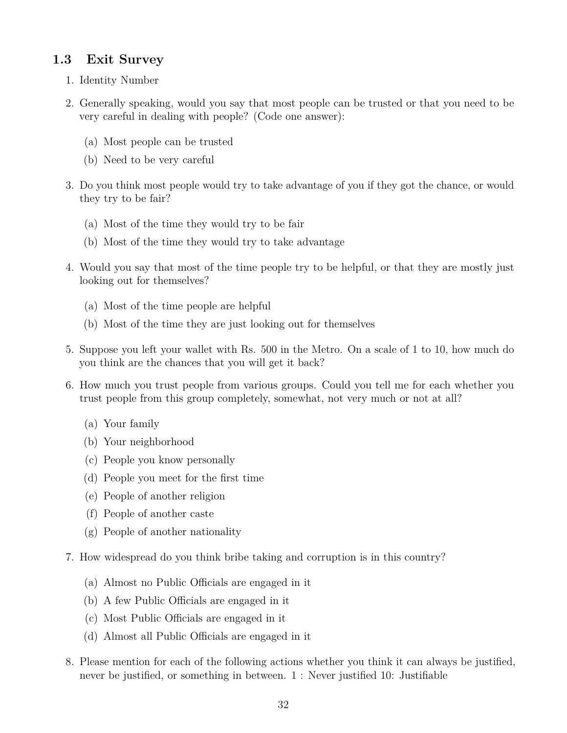## **1.3 Exit Survey**

- 1. Identity Number
- 2. Generally speaking, would you say that most people can be trusted or that you need to be very careful in dealing with people? (Code one answer):
	- (a) Most people can be trusted
	- (b) Need to be very careful
- 3. Do you think most people would try to take advantage of you if they got the chance, or would they try to be fair?
	- (a) Most of the time they would try to be fair
	- (b) Most of the time they would try to take advantage
- 4. Would you say that most of the time people try to be helpful, or that they are mostly just looking out for themselves?
	- (a) Most of the time people are helpful
	- (b) Most of the time they are just looking out for themselves
- 5. Suppose you left your wallet with Rs. 500 in the Metro. On a scale of 1 to 10, how much do you think are the chances that you will get it back?
- 6. How much you trust people from various groups. Could you tell me for each whether you trust people from this group completely, somewhat, not very much or not at all?
	- (a) Your family
	- (b) Your neighborhood
	- (c) People you know personally
	- (d) People you meet for the first time
	- (e) People of another religion
	- (f) People of another caste
	- (g) People of another nationality
- 7. How widespread do you think bribe taking and corruption is in this country?
	- (a) Almost no Public Officials are engaged in it
	- (b) A few Public Officials are engaged in it
	- (c) Most Public Officials are engaged in it
	- (d) Almost all Public Officials are engaged in it
- 8. Please mention for each of the following actions whether you think it can always be justified, never be justified, or something in between. 1 : Never justified 10: Justifiable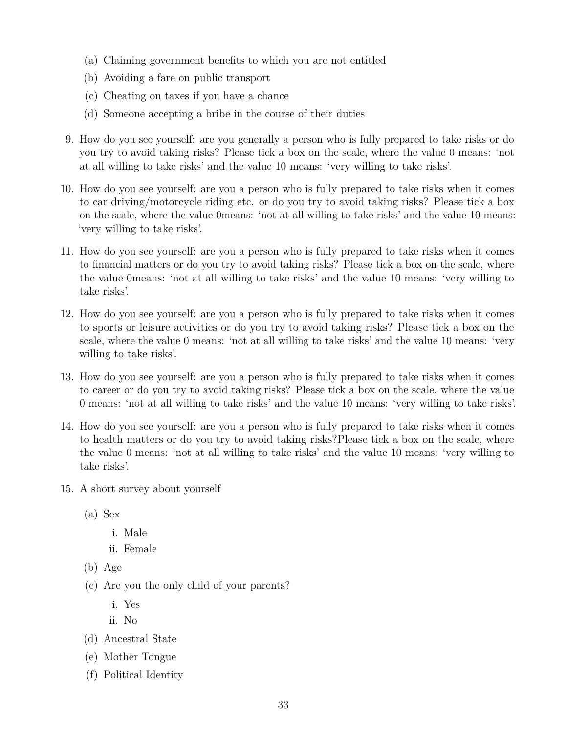- (a) Claiming government benefits to which you are not entitled
- (b) Avoiding a fare on public transport
- (c) Cheating on taxes if you have a chance
- (d) Someone accepting a bribe in the course of their duties
- 9. How do you see yourself: are you generally a person who is fully prepared to take risks or do you try to avoid taking risks? Please tick a box on the scale, where the value 0 means: 'not at all willing to take risks' and the value 10 means: 'very willing to take risks'.
- 10. How do you see yourself: are you a person who is fully prepared to take risks when it comes to car driving/motorcycle riding etc. or do you try to avoid taking risks? Please tick a box on the scale, where the value 0means: 'not at all willing to take risks' and the value 10 means: 'very willing to take risks'.
- 11. How do you see yourself: are you a person who is fully prepared to take risks when it comes to financial matters or do you try to avoid taking risks? Please tick a box on the scale, where the value 0means: 'not at all willing to take risks' and the value 10 means: 'very willing to take risks'.
- 12. How do you see yourself: are you a person who is fully prepared to take risks when it comes to sports or leisure activities or do you try to avoid taking risks? Please tick a box on the scale, where the value 0 means: 'not at all willing to take risks' and the value 10 means: 'very willing to take risks'.
- 13. How do you see yourself: are you a person who is fully prepared to take risks when it comes to career or do you try to avoid taking risks? Please tick a box on the scale, where the value 0 means: 'not at all willing to take risks' and the value 10 means: 'very willing to take risks'.
- 14. How do you see yourself: are you a person who is fully prepared to take risks when it comes to health matters or do you try to avoid taking risks?Please tick a box on the scale, where the value 0 means: 'not at all willing to take risks' and the value 10 means: 'very willing to take risks'.
- 15. A short survey about yourself
	- (a) Sex
		- i. Male
		- ii. Female
	- (b) Age
	- (c) Are you the only child of your parents?
		- i. Yes
		- ii. No
	- (d) Ancestral State
	- (e) Mother Tongue
	- (f) Political Identity